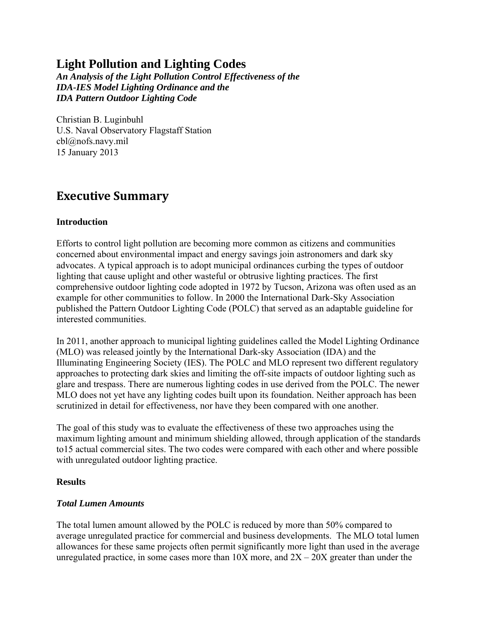## **Light Pollution and Lighting Codes**

*An Analysis of the Light Pollution Control Effectiveness of the IDA-IES Model Lighting Ordinance and the IDA Pattern Outdoor Lighting Code* 

Christian B. Luginbuhl U.S. Naval Observatory Flagstaff Station cbl@nofs.navy.mil 15 January 2013

## **Executive Summary**

#### **Introduction**

Efforts to control light pollution are becoming more common as citizens and communities concerned about environmental impact and energy savings join astronomers and dark sky advocates. A typical approach is to adopt municipal ordinances curbing the types of outdoor lighting that cause uplight and other wasteful or obtrusive lighting practices. The first comprehensive outdoor lighting code adopted in 1972 by Tucson, Arizona was often used as an example for other communities to follow. In 2000 the International Dark-Sky Association published the Pattern Outdoor Lighting Code (POLC) that served as an adaptable guideline for interested communities.

In 2011, another approach to municipal lighting guidelines called the Model Lighting Ordinance (MLO) was released jointly by the International Dark-sky Association (IDA) and the Illuminating Engineering Society (IES). The POLC and MLO represent two different regulatory approaches to protecting dark skies and limiting the off-site impacts of outdoor lighting such as glare and trespass. There are numerous lighting codes in use derived from the POLC. The newer MLO does not yet have any lighting codes built upon its foundation. Neither approach has been scrutinized in detail for effectiveness, nor have they been compared with one another.

The goal of this study was to evaluate the effectiveness of these two approaches using the maximum lighting amount and minimum shielding allowed, through application of the standards to15 actual commercial sites. The two codes were compared with each other and where possible with unregulated outdoor lighting practice.

#### **Results**

#### *Total Lumen Amounts*

The total lumen amount allowed by the POLC is reduced by more than 50% compared to average unregulated practice for commercial and business developments. The MLO total lumen allowances for these same projects often permit significantly more light than used in the average unregulated practice, in some cases more than  $10X$  more, and  $2X - 20X$  greater than under the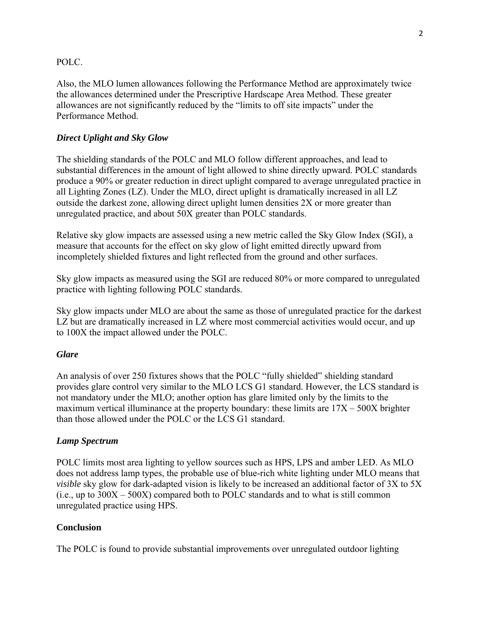#### POLC.

Also, the MLO lumen allowances following the Performance Method are approximately twice the allowances determined under the Prescriptive Hardscape Area Method. These greater allowances are not significantly reduced by the "limits to off site impacts" under the Performance Method.

#### *Direct Uplight and Sky Glow*

The shielding standards of the POLC and MLO follow different approaches, and lead to substantial differences in the amount of light allowed to shine directly upward. POLC standards produce a 90% or greater reduction in direct uplight compared to average unregulated practice in all Lighting Zones (LZ). Under the MLO, direct uplight is dramatically increased in all LZ outside the darkest zone, allowing direct uplight lumen densities 2X or more greater than unregulated practice, and about 50X greater than POLC standards.

Relative sky glow impacts are assessed using a new metric called the Sky Glow Index (SGI), a measure that accounts for the effect on sky glow of light emitted directly upward from incompletely shielded fixtures and light reflected from the ground and other surfaces.

Sky glow impacts as measured using the SGI are reduced 80% or more compared to unregulated practice with lighting following POLC standards.

Sky glow impacts under MLO are about the same as those of unregulated practice for the darkest LZ but are dramatically increased in LZ where most commercial activities would occur, and up to 100X the impact allowed under the POLC.

#### *Glare*

An analysis of over 250 fixtures shows that the POLC "fully shielded" shielding standard provides glare control very similar to the MLO LCS G1 standard. However, the LCS standard is not mandatory under the MLO; another option has glare limited only by the limits to the maximum vertical illuminance at the property boundary: these limits are 17X – 500X brighter than those allowed under the POLC or the LCS G1 standard.

#### *Lamp Spectrum*

POLC limits most area lighting to yellow sources such as HPS, LPS and amber LED. As MLO does not address lamp types, the probable use of blue-rich white lighting under MLO means that *visible* sky glow for dark-adapted vision is likely to be increased an additional factor of 3X to 5X  $(i.e., up to  $300X - 500X$ ) compared both to POLC standards and to what is still common$ unregulated practice using HPS.

#### **Conclusion**

The POLC is found to provide substantial improvements over unregulated outdoor lighting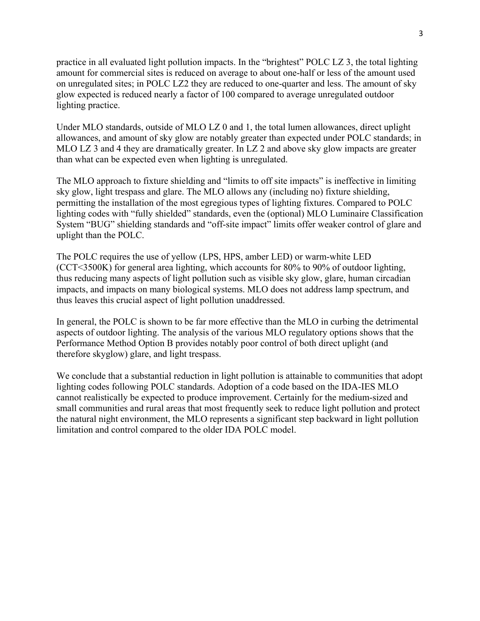practice in all evaluated light pollution impacts. In the "brightest" POLC LZ 3, the total lighting amount for commercial sites is reduced on average to about one-half or less of the amount used on unregulated sites; in POLC LZ2 they are reduced to one-quarter and less. The amount of sky glow expected is reduced nearly a factor of 100 compared to average unregulated outdoor lighting practice.

Under MLO standards, outside of MLO LZ 0 and 1, the total lumen allowances, direct uplight allowances, and amount of sky glow are notably greater than expected under POLC standards; in MLO LZ 3 and 4 they are dramatically greater. In LZ 2 and above sky glow impacts are greater than what can be expected even when lighting is unregulated.

The MLO approach to fixture shielding and "limits to off site impacts" is ineffective in limiting sky glow, light trespass and glare. The MLO allows any (including no) fixture shielding, permitting the installation of the most egregious types of lighting fixtures. Compared to POLC lighting codes with "fully shielded" standards, even the (optional) MLO Luminaire Classification System "BUG" shielding standards and "off-site impact" limits offer weaker control of glare and uplight than the POLC.

The POLC requires the use of yellow (LPS, HPS, amber LED) or warm-white LED (CCT<3500K) for general area lighting, which accounts for 80% to 90% of outdoor lighting, thus reducing many aspects of light pollution such as visible sky glow, glare, human circadian impacts, and impacts on many biological systems. MLO does not address lamp spectrum, and thus leaves this crucial aspect of light pollution unaddressed.

In general, the POLC is shown to be far more effective than the MLO in curbing the detrimental aspects of outdoor lighting. The analysis of the various MLO regulatory options shows that the Performance Method Option B provides notably poor control of both direct uplight (and therefore skyglow) glare, and light trespass.

We conclude that a substantial reduction in light pollution is attainable to communities that adopt lighting codes following POLC standards. Adoption of a code based on the IDA-IES MLO cannot realistically be expected to produce improvement. Certainly for the medium-sized and small communities and rural areas that most frequently seek to reduce light pollution and protect the natural night environment, the MLO represents a significant step backward in light pollution limitation and control compared to the older IDA POLC model.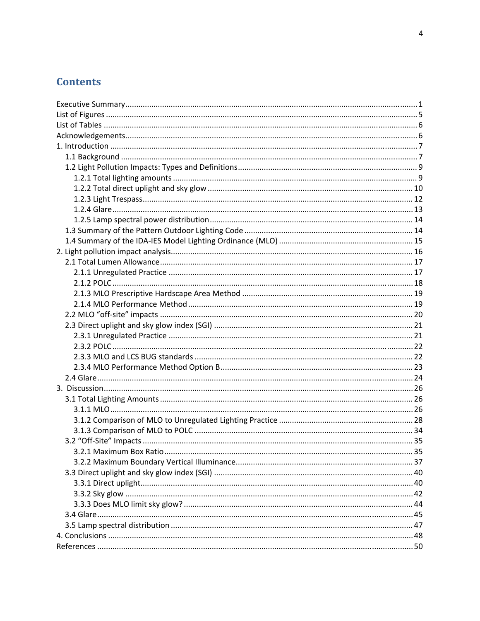## **Contents**

| 3.2.1 Maximum Box Ratio |  |
|-------------------------|--|
|                         |  |
|                         |  |
|                         |  |
|                         |  |
|                         |  |
|                         |  |
|                         |  |
|                         |  |
|                         |  |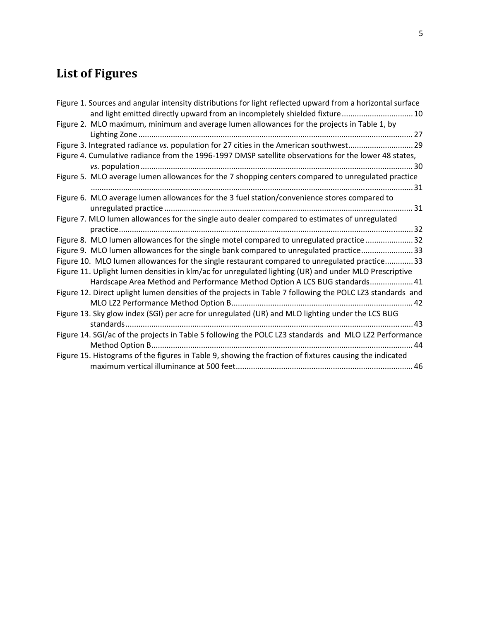# **List of Figures**

| Figure 1. Sources and angular intensity distributions for light reflected upward from a horizontal surface<br>and light emitted directly upward from an incompletely shielded fixture 10 |
|------------------------------------------------------------------------------------------------------------------------------------------------------------------------------------------|
| Figure 2. MLO maximum, minimum and average lumen allowances for the projects in Table 1, by                                                                                              |
| Figure 3. Integrated radiance vs. population for 27 cities in the American southwest 29                                                                                                  |
| Figure 4. Cumulative radiance from the 1996-1997 DMSP satellite observations for the lower 48 states,                                                                                    |
| Figure 5. MLO average lumen allowances for the 7 shopping centers compared to unregulated practice                                                                                       |
| Figure 6. MLO average lumen allowances for the 3 fuel station/convenience stores compared to                                                                                             |
| Figure 7. MLO lumen allowances for the single auto dealer compared to estimates of unregulated                                                                                           |
| Figure 8. MLO lumen allowances for the single motel compared to unregulated practice 32                                                                                                  |
| Figure 9. MLO lumen allowances for the single bank compared to unregulated practice33                                                                                                    |
| Figure 10. MLO lumen allowances for the single restaurant compared to unregulated practice 33                                                                                            |
| Figure 11. Uplight lumen densities in klm/ac for unregulated lighting (UR) and under MLO Prescriptive                                                                                    |
| Hardscape Area Method and Performance Method Option A LCS BUG standards 41                                                                                                               |
| Figure 12. Direct uplight lumen densities of the projects in Table 7 following the POLC LZ3 standards and                                                                                |
| Figure 13. Sky glow index (SGI) per acre for unregulated (UR) and MLO lighting under the LCS BUG                                                                                         |
| Figure 14. SGI/ac of the projects in Table 5 following the POLC LZ3 standards and MLO LZ2 Performance                                                                                    |
| Figure 15. Histograms of the figures in Table 9, showing the fraction of fixtures causing the indicated                                                                                  |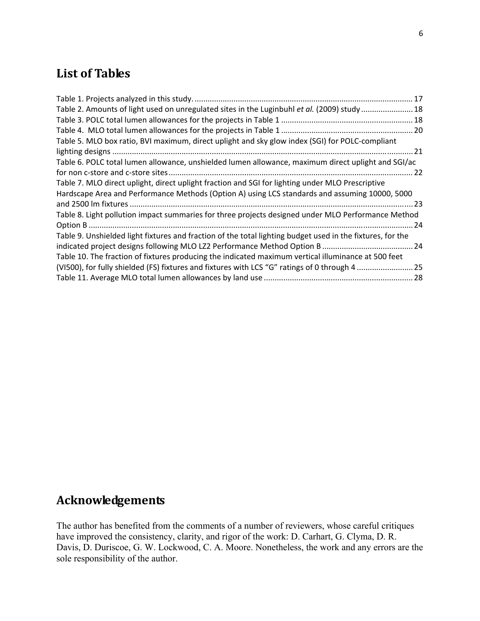## **List of Tables**

| Table 2. Amounts of light used on unregulated sites in the Luginbuhl et al. (2009) study  18               |  |
|------------------------------------------------------------------------------------------------------------|--|
|                                                                                                            |  |
|                                                                                                            |  |
| Table 5. MLO box ratio, BVI maximum, direct uplight and sky glow index (SGI) for POLC-compliant            |  |
|                                                                                                            |  |
| Table 6. POLC total lumen allowance, unshielded lumen allowance, maximum direct uplight and SGI/ac         |  |
|                                                                                                            |  |
| Table 7. MLO direct uplight, direct uplight fraction and SGI for lighting under MLO Prescriptive           |  |
| Hardscape Area and Performance Methods (Option A) using LCS standards and assuming 10000, 5000             |  |
|                                                                                                            |  |
| Table 8. Light pollution impact summaries for three projects designed under MLO Performance Method         |  |
|                                                                                                            |  |
| Table 9. Unshielded light fixtures and fraction of the total lighting budget used in the fixtures, for the |  |
|                                                                                                            |  |
| Table 10. The fraction of fixtures producing the indicated maximum vertical illuminance at 500 feet        |  |
| (VI500), for fully shielded (FS) fixtures and fixtures with LCS "G" ratings of 0 through 4  25             |  |
|                                                                                                            |  |

## **Acknowledgements**

The author has benefited from the comments of a number of reviewers, whose careful critiques have improved the consistency, clarity, and rigor of the work: D. Carhart, G. Clyma, D. R. Davis, D. Duriscoe, G. W. Lockwood, C. A. Moore. Nonetheless, the work and any errors are the sole responsibility of the author.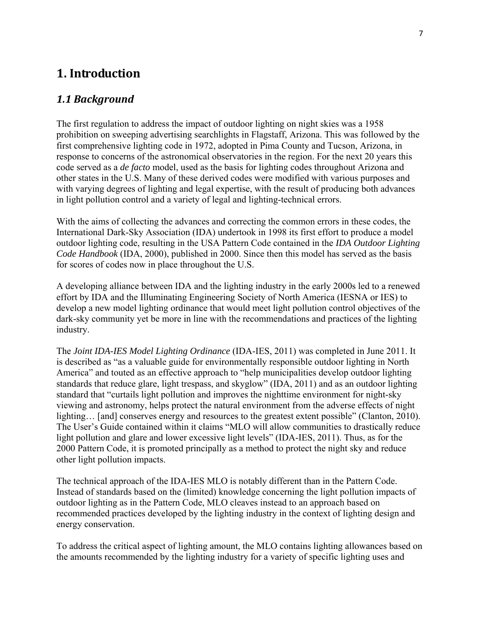## **1. Introduction**

#### *1.1 Background*

The first regulation to address the impact of outdoor lighting on night skies was a 1958 prohibition on sweeping advertising searchlights in Flagstaff, Arizona. This was followed by the first comprehensive lighting code in 1972, adopted in Pima County and Tucson, Arizona, in response to concerns of the astronomical observatories in the region. For the next 20 years this code served as a *de facto* model, used as the basis for lighting codes throughout Arizona and other states in the U.S. Many of these derived codes were modified with various purposes and with varying degrees of lighting and legal expertise, with the result of producing both advances in light pollution control and a variety of legal and lighting-technical errors.

With the aims of collecting the advances and correcting the common errors in these codes, the International Dark-Sky Association (IDA) undertook in 1998 its first effort to produce a model outdoor lighting code, resulting in the USA Pattern Code contained in the *IDA Outdoor Lighting Code Handbook* (IDA, 2000), published in 2000. Since then this model has served as the basis for scores of codes now in place throughout the U.S.

A developing alliance between IDA and the lighting industry in the early 2000s led to a renewed effort by IDA and the Illuminating Engineering Society of North America (IESNA or IES) to develop a new model lighting ordinance that would meet light pollution control objectives of the dark-sky community yet be more in line with the recommendations and practices of the lighting industry.

The *Joint IDA-IES Model Lighting Ordinance* (IDA-IES, 2011) was completed in June 2011. It is described as "as a valuable guide for environmentally responsible outdoor lighting in North America" and touted as an effective approach to "help municipalities develop outdoor lighting standards that reduce glare, light trespass, and skyglow" (IDA, 2011) and as an outdoor lighting standard that "curtails light pollution and improves the nighttime environment for night-sky viewing and astronomy, helps protect the natural environment from the adverse effects of night lighting... [and] conserves energy and resources to the greatest extent possible" (Clanton, 2010). The User's Guide contained within it claims "MLO will allow communities to drastically reduce light pollution and glare and lower excessive light levels" (IDA-IES, 2011). Thus, as for the 2000 Pattern Code, it is promoted principally as a method to protect the night sky and reduce other light pollution impacts.

The technical approach of the IDA-IES MLO is notably different than in the Pattern Code. Instead of standards based on the (limited) knowledge concerning the light pollution impacts of outdoor lighting as in the Pattern Code, MLO cleaves instead to an approach based on recommended practices developed by the lighting industry in the context of lighting design and energy conservation.

To address the critical aspect of lighting amount, the MLO contains lighting allowances based on the amounts recommended by the lighting industry for a variety of specific lighting uses and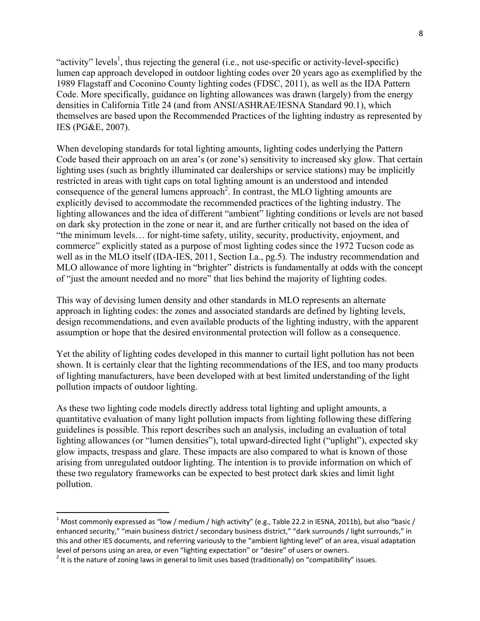"activity" levels<sup>1</sup>, thus rejecting the general (i.e., not use-specific or activity-level-specific) lumen cap approach developed in outdoor lighting codes over 20 years ago as exemplified by the 1989 Flagstaff and Coconino County lighting codes (FDSC, 2011), as well as the IDA Pattern Code. More specifically, guidance on lighting allowances was drawn (largely) from the energy densities in California Title 24 (and from ANSI/ASHRAE/IESNA Standard 90.1), which themselves are based upon the Recommended Practices of the lighting industry as represented by IES (PG&E, 2007).

When developing standards for total lighting amounts, lighting codes underlying the Pattern Code based their approach on an area's (or zone's) sensitivity to increased sky glow. That certain lighting uses (such as brightly illuminated car dealerships or service stations) may be implicitly restricted in areas with tight caps on total lighting amount is an understood and intended consequence of the general lumens approach<sup>2</sup>. In contrast, the MLO lighting amounts are explicitly devised to accommodate the recommended practices of the lighting industry. The lighting allowances and the idea of different "ambient" lighting conditions or levels are not based on dark sky protection in the zone or near it, and are further critically not based on the idea of "the minimum levels… for night-time safety, utility, security, productivity, enjoyment, and commerce" explicitly stated as a purpose of most lighting codes since the 1972 Tucson code as well as in the MLO itself (IDA-IES, 2011, Section I.a., pg.5). The industry recommendation and MLO allowance of more lighting in "brighter" districts is fundamentally at odds with the concept of "just the amount needed and no more" that lies behind the majority of lighting codes.

This way of devising lumen density and other standards in MLO represents an alternate approach in lighting codes: the zones and associated standards are defined by lighting levels, design recommendations, and even available products of the lighting industry, with the apparent assumption or hope that the desired environmental protection will follow as a consequence.

Yet the ability of lighting codes developed in this manner to curtail light pollution has not been shown. It is certainly clear that the lighting recommendations of the IES, and too many products of lighting manufacturers, have been developed with at best limited understanding of the light pollution impacts of outdoor lighting.

As these two lighting code models directly address total lighting and uplight amounts, a quantitative evaluation of many light pollution impacts from lighting following these differing guidelines is possible. This report describes such an analysis, including an evaluation of total lighting allowances (or "lumen densities"), total upward-directed light ("uplight"), expected sky glow impacts, trespass and glare. These impacts are also compared to what is known of those arising from unregulated outdoor lighting. The intention is to provide information on which of these two regulatory frameworks can be expected to best protect dark skies and limit light pollution.

<sup>&</sup>lt;sup>1</sup> Most commonly expressed as "low / medium / high activity" (e.g., Table 22.2 in IESNA, 2011b), but also "basic / enhanced security," "main business district / secondary business district," "dark surrounds / light surrounds," in this and other IES documents, and referring variously to the "ambient lighting level" of an area, visual adaptation<br>level of persons using an area, or even "lighting expectation" or "desire" of users or owners.

<sup>&</sup>lt;sup>2</sup> It is the nature of zoning laws in general to limit uses based (traditionally) on "compatibility" issues.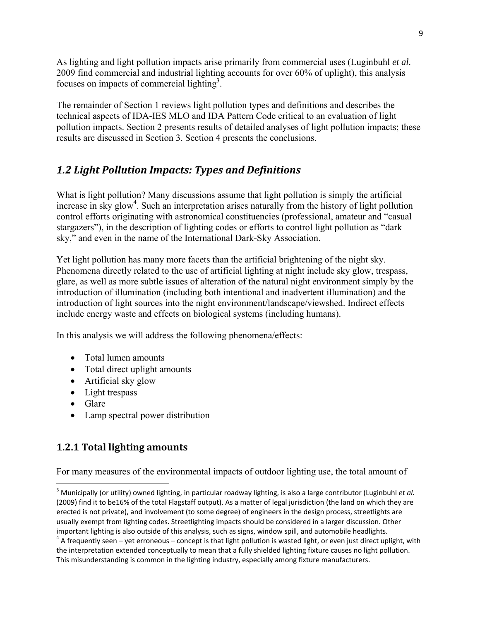As lighting and light pollution impacts arise primarily from commercial uses (Luginbuhl *et al.* 2009 find commercial and industrial lighting accounts for over 60% of uplight), this analysis focuses on impacts of commercial lighting<sup>3</sup>.

The remainder of Section 1 reviews light pollution types and definitions and describes the technical aspects of IDA-IES MLO and IDA Pattern Code critical to an evaluation of light pollution impacts. Section 2 presents results of detailed analyses of light pollution impacts; these results are discussed in Section 3. Section 4 presents the conclusions.

## *1.2 Light Pollution Impacts: Types and Definitions*

What is light pollution? Many discussions assume that light pollution is simply the artificial increase in sky glow<sup>4</sup>. Such an interpretation arises naturally from the history of light pollution control efforts originating with astronomical constituencies (professional, amateur and "casual stargazers"), in the description of lighting codes or efforts to control light pollution as "dark sky," and even in the name of the International Dark-Sky Association.

Yet light pollution has many more facets than the artificial brightening of the night sky. Phenomena directly related to the use of artificial lighting at night include sky glow, trespass, glare, as well as more subtle issues of alteration of the natural night environment simply by the introduction of illumination (including both intentional and inadvertent illumination) and the introduction of light sources into the night environment/landscape/viewshed. Indirect effects include energy waste and effects on biological systems (including humans).

In this analysis we will address the following phenomena/effects:

- Total lumen amounts
- Total direct uplight amounts
- Artificial sky glow
- Light trespass
- Glare
- Lamp spectral power distribution

## **1.2.1 Total lighting amounts**

For many measures of the environmental impacts of outdoor lighting use, the total amount of

<sup>3</sup> Municipally (or utility) owned lighting, in particular roadway lighting, is also a large contributor (Luginbuhl *et al.* (2009) find it to be16% of the total Flagstaff output). As a matter of legal jurisdiction (the land on which they are erected is not private), and involvement (to some degree) of engineers in the design process, streetlights are usually exempt from lighting codes. Streetlighting impacts should be considered in a larger discussion. Other

important lighting is also outside of this analysis, such as signs, window spill, and automobile headlights.<br><sup>4</sup> A frequently seen – yet erroneous – concept is that light pollution is wasted light, or even just direct upl the interpretation extended conceptually to mean that a fully shielded lighting fixture causes no light pollution. This misunderstanding is common in the lighting industry, especially among fixture manufacturers.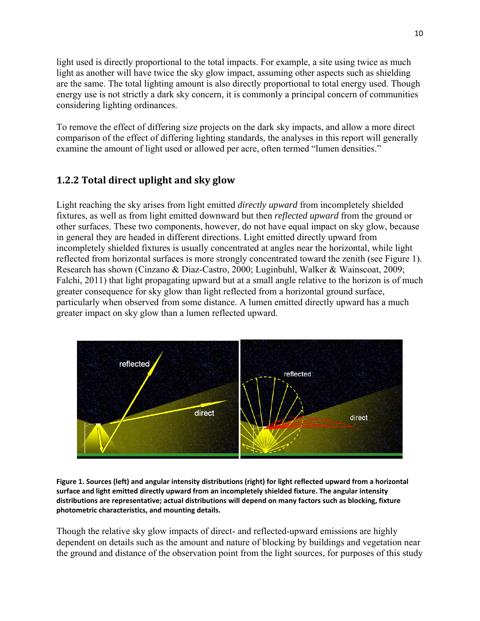light used is directly proportional to the total impacts. For example, a site using twice as much light as another will have twice the sky glow impact, assuming other aspects such as shielding are the same. The total lighting amount is also directly proportional to total energy used. Though energy use is not strictly a dark sky concern, it is commonly a principal concern of communities considering lighting ordinances.

To remove the effect of differing size projects on the dark sky impacts, and allow a more direct comparison of the effect of differing lighting standards, the analyses in this report will generally examine the amount of light used or allowed per acre, often termed "lumen densities."

### **1.2.2 Total direct uplight and sky glow**

Light reaching the sky arises from light emitted *directly upward* from incompletely shielded fixtures, as well as from light emitted downward but then *reflected upward* from the ground or other surfaces. These two components, however, do not have equal impact on sky glow, because in general they are headed in different directions. Light emitted directly upward from incompletely shielded fixtures is usually concentrated at angles near the horizontal, while light reflected from horizontal surfaces is more strongly concentrated toward the zenith (see Figure 1). Research has shown (Cinzano & Diaz-Castro, 2000; Luginbuhl, Walker & Wainscoat, 2009; Falchi, 2011) that light propagating upward but at a small angle relative to the horizon is of much greater consequence for sky glow than light reflected from a horizontal ground surface, particularly when observed from some distance. A lumen emitted directly upward has a much greater impact on sky glow than a lumen reflected upward.



Figure 1. Sources (left) and angular intensity distributions (right) for light reflected upward from a horizontal **surface and light emitted directly upward from an incompletely shielded fixture. The angular intensity distributions are representative; actual distributions will depend on many factors such as blocking, fixture photometric characteristics, and mounting details.**

Though the relative sky glow impacts of direct- and reflected-upward emissions are highly dependent on details such as the amount and nature of blocking by buildings and vegetation near the ground and distance of the observation point from the light sources, for purposes of this study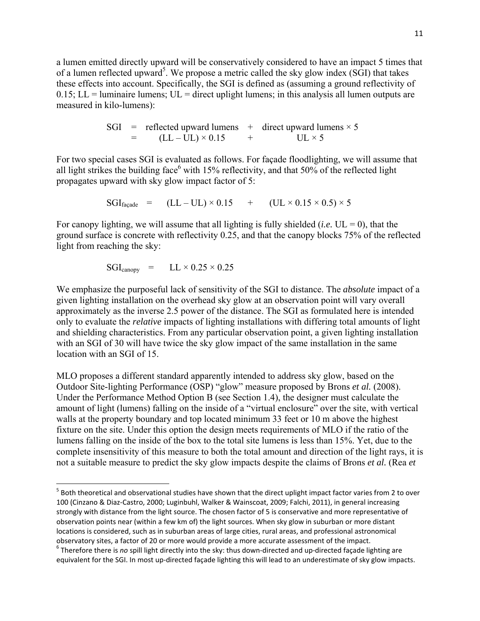a lumen emitted directly upward will be conservatively considered to have an impact 5 times that of a lumen reflected upward<sup>5</sup>. We propose a metric called the sky glow index (SGI) that takes these effects into account. Specifically, the SGI is defined as (assuming a ground reflectivity of  $0.15$ ; LL = luminaire lumens; UL = direct uplight lumens; in this analysis all lumen outputs are measured in kilo-lumens):

SGI = reflected upward lumes + direct upward lumes 
$$
\times
$$
 5  
= (LL – UL)  $\times$  0.15 + UL  $\times$  5

For two special cases SGI is evaluated as follows. For façade floodlighting, we will assume that all light strikes the building face<sup>6</sup> with 15% reflectivity, and that 50% of the reflected light propagates upward with sky glow impact factor of 5:

$$
SGI_{\text{façade}} = (LL - UL) \times 0.15 + (UL \times 0.15 \times 0.5) \times 5
$$

For canopy lighting, we will assume that all lighting is fully shielded (*i.e.*  $UL = 0$ ), that the ground surface is concrete with reflectivity 0.25, and that the canopy blocks 75% of the reflected light from reaching the sky:

$$
SGI_{\text{canopy}} = LL \times 0.25 \times 0.25
$$

We emphasize the purposeful lack of sensitivity of the SGI to distance. The *absolute* impact of a given lighting installation on the overhead sky glow at an observation point will vary overall approximately as the inverse 2.5 power of the distance. The SGI as formulated here is intended only to evaluate the *relative* impacts of lighting installations with differing total amounts of light and shielding characteristics. From any particular observation point, a given lighting installation with an SGI of 30 will have twice the sky glow impact of the same installation in the same location with an SGI of 15.

MLO proposes a different standard apparently intended to address sky glow, based on the Outdoor Site-lighting Performance (OSP) "glow" measure proposed by Brons *et al.* (2008). Under the Performance Method Option B (see Section 1.4), the designer must calculate the amount of light (lumens) falling on the inside of a "virtual enclosure" over the site, with vertical walls at the property boundary and top located minimum 33 feet or 10 m above the highest fixture on the site. Under this option the design meets requirements of MLO if the ratio of the lumens falling on the inside of the box to the total site lumens is less than 15%. Yet, due to the complete insensitivity of this measure to both the total amount and direction of the light rays, it is not a suitable measure to predict the sky glow impacts despite the claims of Brons *et al.* (Rea *et* 

<sup>&</sup>lt;sup>5</sup> Both theoretical and observational studies have shown that the direct uplight impact factor varies from 2 to over 100 (Cinzano & Diaz‐Castro, 2000; Luginbuhl, Walker & Wainscoat, 2009; Falchi, 2011), in general increasing strongly with distance from the light source. The chosen factor of 5 is conservative and more representative of observation points near (within a few km of) the light sources. When sky glow in suburban or more distant locations is considered, such as in suburban areas of large cities, rural areas, and professional astronomical observatory sites, a factor of 20 or more would provide a more accurate assessment of the impact.<br>
<sup>6</sup> Therefore there is *no* spill light directly into the sky: thus down-directed and up-directed façade lighting are

equivalent for the SGI. In most up-directed facade lighting this will lead to an underestimate of sky glow impacts.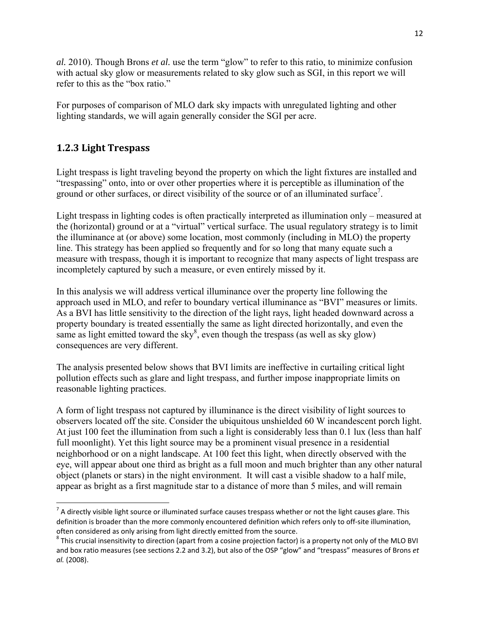*al.* 2010). Though Brons *et al.* use the term "glow" to refer to this ratio, to minimize confusion with actual sky glow or measurements related to sky glow such as SGI, in this report we will refer to this as the "box ratio."

For purposes of comparison of MLO dark sky impacts with unregulated lighting and other lighting standards, we will again generally consider the SGI per acre.

## **1.2.3 Light Trespass**

Light trespass is light traveling beyond the property on which the light fixtures are installed and "trespassing" onto, into or over other properties where it is perceptible as illumination of the ground or other surfaces, or direct visibility of the source or of an illuminated surface<sup>7</sup>.

Light trespass in lighting codes is often practically interpreted as illumination only – measured at the (horizontal) ground or at a "virtual" vertical surface. The usual regulatory strategy is to limit the illuminance at (or above) some location, most commonly (including in MLO) the property line. This strategy has been applied so frequently and for so long that many equate such a measure with trespass, though it is important to recognize that many aspects of light trespass are incompletely captured by such a measure, or even entirely missed by it.

In this analysis we will address vertical illuminance over the property line following the approach used in MLO, and refer to boundary vertical illuminance as "BVI" measures or limits. As a BVI has little sensitivity to the direction of the light rays, light headed downward across a property boundary is treated essentially the same as light directed horizontally, and even the same as light emitted toward the sky<sup>8</sup>, even though the trespass (as well as sky glow) consequences are very different.

The analysis presented below shows that BVI limits are ineffective in curtailing critical light pollution effects such as glare and light trespass, and further impose inappropriate limits on reasonable lighting practices.

A form of light trespass not captured by illuminance is the direct visibility of light sources to observers located off the site. Consider the ubiquitous unshielded 60 W incandescent porch light. At just 100 feet the illumination from such a light is considerably less than 0.1 lux (less than half full moonlight). Yet this light source may be a prominent visual presence in a residential neighborhood or on a night landscape. At 100 feet this light, when directly observed with the eye, will appear about one third as bright as a full moon and much brighter than any other natural object (planets or stars) in the night environment. It will cast a visible shadow to a half mile, appear as bright as a first magnitude star to a distance of more than 5 miles, and will remain

 $^7$  A directly visible light source or illuminated surface causes trespass whether or not the light causes glare. This definition is broader than the more commonly encountered definition which refers only to off‐site illumination,

often considered as only arising from light directly emitted from the source.<br><sup>8</sup> This crucial insensitivity to direction (apart from a cosine projection factor) is a property not only of the MLO BVI and box ratio measures (see sections 2.2 and 3.2), but also of the OSP "glow" and "trespass" measures of Brons *et al.* (2008).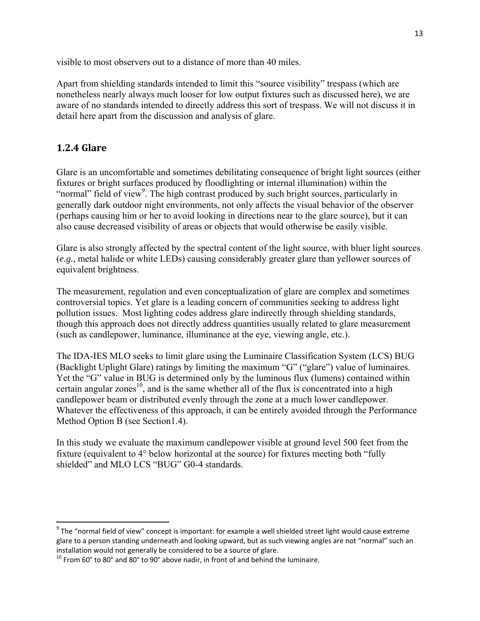visible to most observers out to a distance of more than 40 miles.

Apart from shielding standards intended to limit this "source visibility" trespass (which are nonetheless nearly always much looser for low output fixtures such as discussed here), we are aware of no standards intended to directly address this sort of trespass. We will not discuss it in detail here apart from the discussion and analysis of glare.

### **1.2.4 Glare**

Glare is an uncomfortable and sometimes debilitating consequence of bright light sources (either fixtures or bright surfaces produced by floodlighting or internal illumination) within the "normal" field of view<sup>9</sup>. The high contrast produced by such bright sources, particularly in generally dark outdoor night environments, not only affects the visual behavior of the observer (perhaps causing him or her to avoid looking in directions near to the glare source), but it can also cause decreased visibility of areas or objects that would otherwise be easily visible.

Glare is also strongly affected by the spectral content of the light source, with bluer light sources (*e.g.*, metal halide or white LEDs) causing considerably greater glare than yellower sources of equivalent brightness.

The measurement, regulation and even conceptualization of glare are complex and sometimes controversial topics. Yet glare is a leading concern of communities seeking to address light pollution issues. Most lighting codes address glare indirectly through shielding standards, though this approach does not directly address quantities usually related to glare measurement (such as candlepower, luminance, illuminance at the eye, viewing angle, etc.).

The IDA-IES MLO seeks to limit glare using the Luminaire Classification System (LCS) BUG (Backlight Uplight Glare) ratings by limiting the maximum "G" ("glare") value of luminaires. Yet the "G" value in BUG is determined only by the luminous flux (lumens) contained within certain angular zones<sup>10</sup>, and is the same whether all of the flux is concentrated into a high candlepower beam or distributed evenly through the zone at a much lower candlepower. Whatever the effectiveness of this approach, it can be entirely avoided through the Performance Method Option B (see Section1.4).

In this study we evaluate the maximum candlepower visible at ground level 500 feet from the fixture (equivalent to 4° below horizontal at the source) for fixtures meeting both "fully shielded" and MLO LCS "BUG" G0-4 standards.

 $9$  The "normal field of view" concept is important: for example a well shielded street light would cause extreme glare to a person standing underneath and looking upward, but as such viewing angles are not "normal" such an<br>installation would not generally be considered to be a source of glare.

 $10$  From 60° to 80° and 80° to 90° above nadir, in front of and behind the luminaire.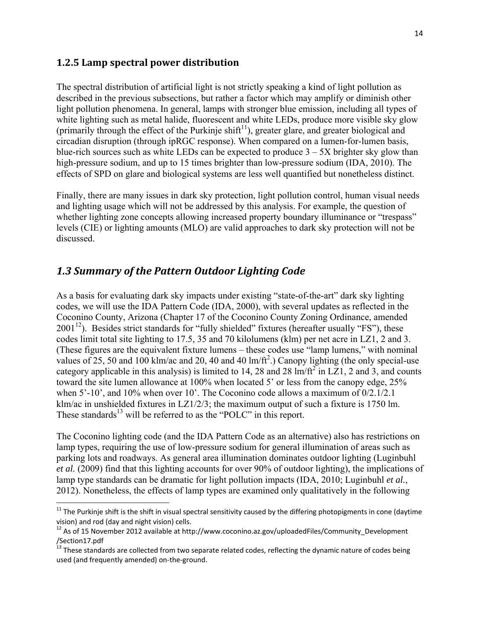#### **1.2.5 Lamp spectral power distribution**

The spectral distribution of artificial light is not strictly speaking a kind of light pollution as described in the previous subsections, but rather a factor which may amplify or diminish other light pollution phenomena. In general, lamps with stronger blue emission, including all types of white lighting such as metal halide, fluorescent and white LEDs, produce more visible sky glow (primarily through the effect of the Purkinje shift<sup>11</sup>), greater glare, and greater biological and circadian disruption (through ipRGC response). When compared on a lumen-for-lumen basis, blue-rich sources such as white LEDs can be expected to produce  $3 - 5X$  brighter sky glow than high-pressure sodium, and up to 15 times brighter than low-pressure sodium (IDA, 2010). The effects of SPD on glare and biological systems are less well quantified but nonetheless distinct.

Finally, there are many issues in dark sky protection, light pollution control, human visual needs and lighting usage which will not be addressed by this analysis. For example, the question of whether lighting zone concepts allowing increased property boundary illuminance or "trespass" levels (CIE) or lighting amounts (MLO) are valid approaches to dark sky protection will not be discussed.

## *1.3 Summary of the Pattern Outdoor Lighting Code*

As a basis for evaluating dark sky impacts under existing "state-of-the-art" dark sky lighting codes, we will use the IDA Pattern Code (IDA, 2000), with several updates as reflected in the Coconino County, Arizona (Chapter 17 of the Coconino County Zoning Ordinance, amended  $2001^{12}$ ). Besides strict standards for "fully shielded" fixtures (hereafter usually "FS"), these codes limit total site lighting to 17.5, 35 and 70 kilolumens (klm) per net acre in LZ1, 2 and 3. (These figures are the equivalent fixture lumens – these codes use "lamp lumens," with nominal values of 25, 50 and 100 klm/ac and 20, 40 and 40 lm/ft<sup>2</sup>.) Canopy lighting (the only special-use category applicable in this analysis) is limited to 14, 28 and 28  $\text{Im}/\text{ft}^2$  in LZ1, 2 and 3, and counts toward the site lumen allowance at 100% when located 5' or less from the canopy edge, 25% when 5'-10', and 10% when over 10'. The Coconino code allows a maximum of  $0/2.1/2.1$ klm/ac in unshielded fixtures in LZ1/2/3; the maximum output of such a fixture is 1750 lm. These standards $^{13}$  will be referred to as the "POLC" in this report.

The Coconino lighting code (and the IDA Pattern Code as an alternative) also has restrictions on lamp types, requiring the use of low-pressure sodium for general illumination of areas such as parking lots and roadways. As general area illumination dominates outdoor lighting (Luginbuhl *et al.* (2009) find that this lighting accounts for over 90% of outdoor lighting), the implications of lamp type standards can be dramatic for light pollution impacts (IDA, 2010; Luginbuhl *et al.*, 2012). Nonetheless, the effects of lamp types are examined only qualitatively in the following

 $^{11}$  The Purkinje shift is the shift in visual spectral sensitivity caused by the differing photopigments in cone (daytime vision) and rod (day and night vision) cells.<br><sup>12</sup> As of 15 November 2012 available at http://www.coconino.az.gov/uploadedFiles/Community\_Development

<sup>/</sup>Section17.pdf

 $^{13}$  These standards are collected from two separate related codes, reflecting the dynamic nature of codes being used (and frequently amended) on‐the‐ground.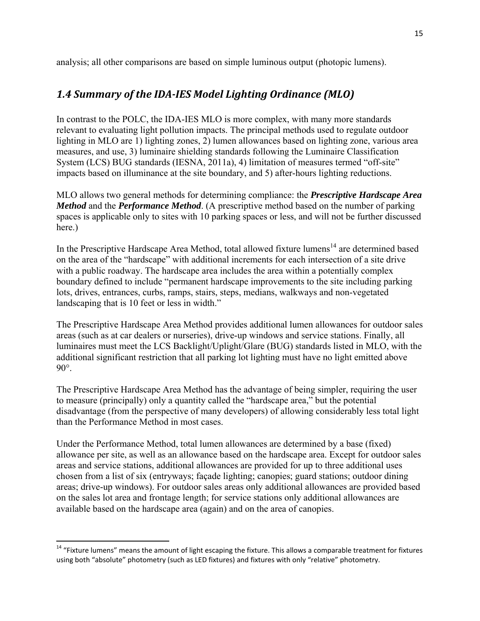analysis; all other comparisons are based on simple luminous output (photopic lumens).

## *1.4 Summary of the IDA‐IES Model Lighting Ordinance (MLO)*

In contrast to the POLC, the IDA-IES MLO is more complex, with many more standards relevant to evaluating light pollution impacts. The principal methods used to regulate outdoor lighting in MLO are 1) lighting zones, 2) lumen allowances based on lighting zone, various area measures, and use, 3) luminaire shielding standards following the Luminaire Classification System (LCS) BUG standards (IESNA, 2011a), 4) limitation of measures termed "off-site" impacts based on illuminance at the site boundary, and 5) after-hours lighting reductions.

MLO allows two general methods for determining compliance: the *Prescriptive Hardscape Area Method* and the *Performance Method*. (A prescriptive method based on the number of parking spaces is applicable only to sites with 10 parking spaces or less, and will not be further discussed here.)

In the Prescriptive Hardscape Area Method, total allowed fixture lumens<sup>14</sup> are determined based on the area of the "hardscape" with additional increments for each intersection of a site drive with a public roadway. The hardscape area includes the area within a potentially complex boundary defined to include "permanent hardscape improvements to the site including parking lots, drives, entrances, curbs, ramps, stairs, steps, medians, walkways and non-vegetated landscaping that is 10 feet or less in width."

The Prescriptive Hardscape Area Method provides additional lumen allowances for outdoor sales areas (such as at car dealers or nurseries), drive-up windows and service stations. Finally, all luminaires must meet the LCS Backlight/Uplight/Glare (BUG) standards listed in MLO, with the additional significant restriction that all parking lot lighting must have no light emitted above 90°.

The Prescriptive Hardscape Area Method has the advantage of being simpler, requiring the user to measure (principally) only a quantity called the "hardscape area," but the potential disadvantage (from the perspective of many developers) of allowing considerably less total light than the Performance Method in most cases.

Under the Performance Method, total lumen allowances are determined by a base (fixed) allowance per site, as well as an allowance based on the hardscape area. Except for outdoor sales areas and service stations, additional allowances are provided for up to three additional uses chosen from a list of six (entryways; façade lighting; canopies; guard stations; outdoor dining areas; drive-up windows). For outdoor sales areas only additional allowances are provided based on the sales lot area and frontage length; for service stations only additional allowances are available based on the hardscape area (again) and on the area of canopies.

 <sup>14</sup> "Fixture lumens" means the amount of light escaping the fixture. This allows a comparable treatment for fixtures using both "absolute" photometry (such as LED fixtures) and fixtures with only "relative" photometry.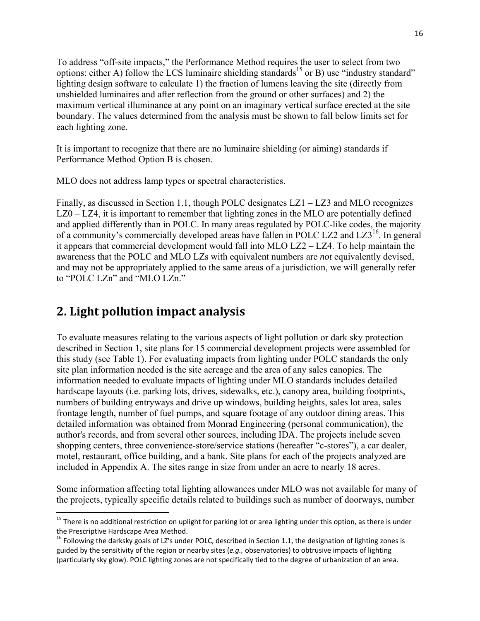To address "off-site impacts," the Performance Method requires the user to select from two options: either A) follow the LCS luminaire shielding standards<sup>15</sup> or B) use "industry standard" lighting design software to calculate 1) the fraction of lumens leaving the site (directly from unshielded luminaires and after reflection from the ground or other surfaces) and 2) the maximum vertical illuminance at any point on an imaginary vertical surface erected at the site boundary. The values determined from the analysis must be shown to fall below limits set for each lighting zone.

It is important to recognize that there are no luminaire shielding (or aiming) standards if Performance Method Option B is chosen.

MLO does not address lamp types or spectral characteristics.

Finally, as discussed in Section 1.1, though POLC designates LZ1 – LZ3 and MLO recognizes LZ0 – LZ4, it is important to remember that lighting zones in the MLO are potentially defined and applied differently than in POLC. In many areas regulated by POLC-like codes, the majority of a community's commercially developed areas have fallen in POLC LZ2 and LZ $3^{16}$ . In general it appears that commercial development would fall into MLO LZ2 – LZ4. To help maintain the awareness that the POLC and MLO LZs with equivalent numbers are *not* equivalently devised, and may not be appropriately applied to the same areas of a jurisdiction, we will generally refer to "POLC LZn" and "MLO LZn."

## **2. Light pollution impact analysis**

To evaluate measures relating to the various aspects of light pollution or dark sky protection described in Section 1, site plans for 15 commercial development projects were assembled for this study (see Table 1). For evaluating impacts from lighting under POLC standards the only site plan information needed is the site acreage and the area of any sales canopies. The information needed to evaluate impacts of lighting under MLO standards includes detailed hardscape layouts (i.e. parking lots, drives, sidewalks, etc.), canopy area, building footprints, numbers of building entryways and drive up windows, building heights, sales lot area, sales frontage length, number of fuel pumps, and square footage of any outdoor dining areas. This detailed information was obtained from Monrad Engineering (personal communication), the author's records, and from several other sources, including IDA. The projects include seven shopping centers, three convenience-store/service stations (hereafter "c-stores"), a car dealer, motel, restaurant, office building, and a bank. Site plans for each of the projects analyzed are included in Appendix A. The sites range in size from under an acre to nearly 18 acres.

Some information affecting total lighting allowances under MLO was not available for many of the projects, typically specific details related to buildings such as number of doorways, number

 $15$  There is no additional restriction on uplight for parking lot or area lighting under this option, as there is under

the Prescriptive Hardscape Area Method.<br><sup>16</sup> Following the darksky goals of LZ's under POLC, described in Section 1.1, the designation of lighting zones is guided by the sensitivity of the region or nearby sites (*e.g.,* observatories) to obtrusive impacts of lighting (particularly sky glow). POLC lighting zones are not specifically tied to the degree of urbanization of an area.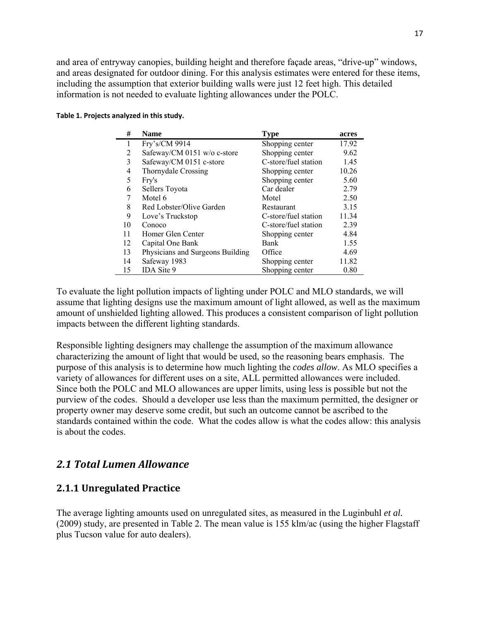and area of entryway canopies, building height and therefore façade areas, "drive-up" windows, and areas designated for outdoor dining. For this analysis estimates were entered for these items, including the assumption that exterior building walls were just 12 feet high. This detailed information is not needed to evaluate lighting allowances under the POLC.

|  | Table 1. Projects analyzed in this study. |  |  |  |
|--|-------------------------------------------|--|--|--|
|--|-------------------------------------------|--|--|--|

| #  | <b>Name</b>                      | <b>Type</b>          | acres |
|----|----------------------------------|----------------------|-------|
|    | Fry's/CM 9914                    | Shopping center      | 17.92 |
| 2  | Safeway/CM 0151 w/o c-store      | Shopping center      | 9.62  |
| 3  | Safeway/CM 0151 c-store          | C-store/fuel station | 1.45  |
| 4  | Thornydale Crossing              | Shopping center      | 10.26 |
| 5  | Fry's                            | Shopping center      | 5.60  |
| 6  | Sellers Toyota                   | Car dealer           | 2.79  |
| 7  | Motel 6                          | Motel                | 2.50  |
| 8  | Red Lobster/Olive Garden         | Restaurant           | 3.15  |
| 9  | Love's Truckstop                 | C-store/fuel station | 11.34 |
| 10 | Conoco                           | C-store/fuel station | 2.39  |
| 11 | Homer Glen Center                | Shopping center      | 4.84  |
| 12 | Capital One Bank                 | <b>Bank</b>          | 1.55  |
| 13 | Physicians and Surgeons Building | Office               | 4.69  |
| 14 | Safeway 1983                     | Shopping center      | 11.82 |
| 15 | IDA Site 9                       | Shopping center      | 0.80  |
|    |                                  |                      |       |

To evaluate the light pollution impacts of lighting under POLC and MLO standards, we will assume that lighting designs use the maximum amount of light allowed, as well as the maximum amount of unshielded lighting allowed. This produces a consistent comparison of light pollution impacts between the different lighting standards.

Responsible lighting designers may challenge the assumption of the maximum allowance characterizing the amount of light that would be used, so the reasoning bears emphasis. The purpose of this analysis is to determine how much lighting the *codes allow*. As MLO specifies a variety of allowances for different uses on a site, ALL permitted allowances were included. Since both the POLC and MLO allowances are upper limits, using less is possible but not the purview of the codes. Should a developer use less than the maximum permitted, the designer or property owner may deserve some credit, but such an outcome cannot be ascribed to the standards contained within the code. What the codes allow is what the codes allow: this analysis is about the codes.

### *2.1 Total Lumen Allowance*

#### **2.1.1 Unregulated Practice**

The average lighting amounts used on unregulated sites, as measured in the Luginbuhl *et al.*  (2009) study, are presented in Table 2. The mean value is 155 klm/ac (using the higher Flagstaff plus Tucson value for auto dealers).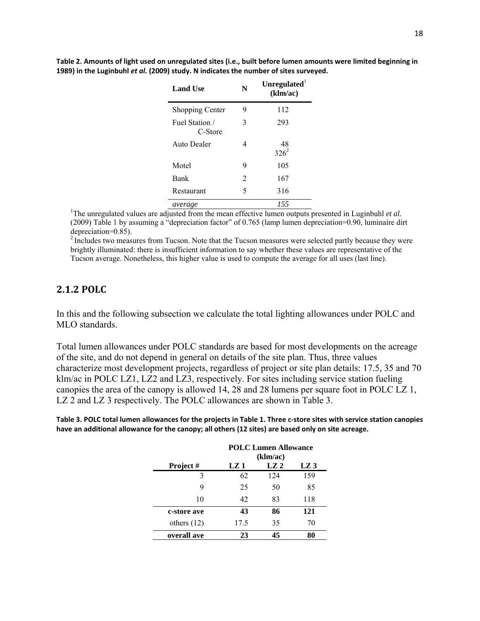| <b>Land Use</b>           | N | Unregulated<br>(klm/ac) |
|---------------------------|---|-------------------------|
| <b>Shopping Center</b>    | 9 | 112                     |
| Fuel Station /<br>C-Store | 3 | 293                     |
| Auto Dealer               | 4 | 48<br>$326^2$           |
| Motel                     | 9 | 105                     |
| <b>Bank</b>               | 2 | 167                     |
| Restaurant                | 5 | 316                     |
| average                   |   | 155                     |

Table 2. Amounts of light used on unregulated sites (i.e., built before lumen amounts were limited beginning in **1989) in the Luginbuhl** *et al.* **(2009) study. N indicates the number of sites surveyed.** 

<sup>1</sup>The unregulated values are adjusted from the mean effective lumen outputs presented in Luginbuhl *et al.* (2009) Table 1 by assuming a "depreciation factor" of 0.765 (lamp lumen depreciation=0.90, luminaire dirt depreciation=0.85).

<sup>2</sup> Includes two measures from Tucson. Note that the Tucson measures were selected partly because they were brightly illuminated: there is insufficient information to say whether these values are representative of the Tucson average. Nonetheless, this higher value is used to compute the average for all uses (last line).

#### **2.1.2 POLC**

In this and the following subsection we calculate the total lighting allowances under POLC and MLO standards.

Total lumen allowances under POLC standards are based for most developments on the acreage of the site, and do not depend in general on details of the site plan. Thus, three values characterize most development projects, regardless of project or site plan details: 17.5, 35 and 70 klm/ac in POLC LZ1, LZ2 and LZ3, respectively. For sites including service station fueling canopies the area of the canopy is allowed 14, 28 and 28 lumens per square foot in POLC LZ 1, LZ 2 and LZ 3 respectively. The POLC allowances are shown in Table 3.

Table 3. POLC total lumen allowances for the projects in Table 1. Three c-store sites with service station canopies **have an additional allowance for the canopy; all others (12 sites) are based only on site acreage.**

|               | <b>POLC Lumen Allowance</b><br>(klm/ac) |     |     |  |  |  |  |
|---------------|-----------------------------------------|-----|-----|--|--|--|--|
| Project #     | LZ2<br>LZ 1<br>LZ 3                     |     |     |  |  |  |  |
| 3             | 62                                      | 124 | 159 |  |  |  |  |
| Q             | 25                                      | 50  | 85  |  |  |  |  |
| 10            | 42                                      | 83  | 118 |  |  |  |  |
| c-store ave   | 43                                      | 86  | 121 |  |  |  |  |
| others $(12)$ | 17.5                                    | 35  | 70  |  |  |  |  |
| overall ave   | 23                                      | 45  | 80  |  |  |  |  |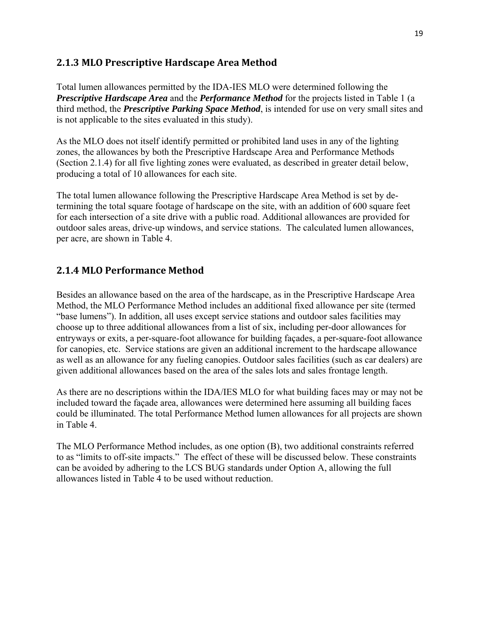### **2.1.3 MLO Prescriptive Hardscape Area Method**

Total lumen allowances permitted by the IDA-IES MLO were determined following the *Prescriptive Hardscape Area* and the *Performance Method* for the projects listed in Table 1 (a third method, the *Prescriptive Parking Space Method*, is intended for use on very small sites and is not applicable to the sites evaluated in this study).

As the MLO does not itself identify permitted or prohibited land uses in any of the lighting zones, the allowances by both the Prescriptive Hardscape Area and Performance Methods (Section 2.1.4) for all five lighting zones were evaluated, as described in greater detail below, producing a total of 10 allowances for each site.

The total lumen allowance following the Prescriptive Hardscape Area Method is set by determining the total square footage of hardscape on the site, with an addition of 600 square feet for each intersection of a site drive with a public road. Additional allowances are provided for outdoor sales areas, drive-up windows, and service stations. The calculated lumen allowances, per acre, are shown in Table 4.

### **2.1.4 MLO Performance Method**

Besides an allowance based on the area of the hardscape, as in the Prescriptive Hardscape Area Method, the MLO Performance Method includes an additional fixed allowance per site (termed "base lumens"). In addition, all uses except service stations and outdoor sales facilities may choose up to three additional allowances from a list of six, including per-door allowances for entryways or exits, a per-square-foot allowance for building façades, a per-square-foot allowance for canopies, etc. Service stations are given an additional increment to the hardscape allowance as well as an allowance for any fueling canopies. Outdoor sales facilities (such as car dealers) are given additional allowances based on the area of the sales lots and sales frontage length.

As there are no descriptions within the IDA/IES MLO for what building faces may or may not be included toward the façade area, allowances were determined here assuming all building faces could be illuminated. The total Performance Method lumen allowances for all projects are shown in Table 4.

The MLO Performance Method includes, as one option (B), two additional constraints referred to as "limits to off-site impacts." The effect of these will be discussed below. These constraints can be avoided by adhering to the LCS BUG standards under Option A, allowing the full allowances listed in Table 4 to be used without reduction.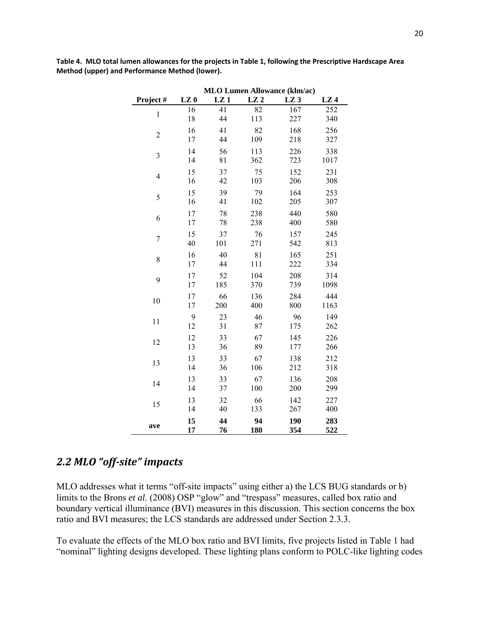|                | <b>MLO Lumen Allowance (klm/ac)</b> |     |     |                 |                 |  |  |  |
|----------------|-------------------------------------|-----|-----|-----------------|-----------------|--|--|--|
| Project#       | LZ <sub>0</sub>                     | LZ1 | LZ2 | LZ <sub>3</sub> | LZ <sub>4</sub> |  |  |  |
| $\,1$          | 16                                  | 41  | 82  | 167             | 252             |  |  |  |
|                | 18                                  | 44  | 113 | 227             | 340             |  |  |  |
| $\overline{c}$ | 16                                  | 41  | 82  | 168             | 256             |  |  |  |
|                | 17                                  | 44  | 109 | 218             | 327             |  |  |  |
| $\overline{3}$ | 14                                  | 56  | 113 | 226             | 338             |  |  |  |
|                | 14                                  | 81  | 362 | 723             | 1017            |  |  |  |
| $\overline{4}$ | 15                                  | 37  | 75  | 152             | 231             |  |  |  |
|                | 16                                  | 42  | 103 | 206             | 308             |  |  |  |
| 5              | 15                                  | 39  | 79  | 164             | 253             |  |  |  |
|                | 16                                  | 41  | 102 | 205             | 307             |  |  |  |
| 6              | 17                                  | 78  | 238 | 440             | 580             |  |  |  |
|                | 17                                  | 78  | 238 | 400             | 580             |  |  |  |
| $\overline{7}$ | 15                                  | 37  | 76  | 157             | 245             |  |  |  |
|                | 40                                  | 101 | 271 | 542             | 813             |  |  |  |
| 8              | 16                                  | 40  | 81  | 165             | 251             |  |  |  |
|                | 17                                  | 44  | 111 | 222             | 334             |  |  |  |
| 9              | 17                                  | 52  | 104 | 208             | 314             |  |  |  |
|                | 17                                  | 185 | 370 | 739             | 1098            |  |  |  |
| 10             | 17                                  | 66  | 136 | 284             | 444             |  |  |  |
|                | 17                                  | 200 | 400 | 800             | 1163            |  |  |  |
| 11             | 9                                   | 23  | 46  | 96              | 149             |  |  |  |
|                | 12                                  | 31  | 87  | 175             | 262             |  |  |  |
| 12             | 12                                  | 33  | 67  | 145             | 226             |  |  |  |
|                | 13                                  | 36  | 89  | 177             | 266             |  |  |  |
| 13             | 13                                  | 33  | 67  | 138             | 212             |  |  |  |
|                | 14                                  | 36  | 106 | 212             | 318             |  |  |  |
| 14             | 13                                  | 33  | 67  | 136             | 208             |  |  |  |
|                | 14                                  | 37  | 100 | 200             | 299             |  |  |  |
| 15             | 13                                  | 32  | 66  | 142             | 227             |  |  |  |
|                | 14                                  | 40  | 133 | 267             | 400             |  |  |  |
| ave            | 15                                  | 44  | 94  | 190             | 283             |  |  |  |
|                | 17                                  | 76  | 180 | 354             | 522             |  |  |  |

Table 4. MLO total lumen allowances for the projects in Table 1, following the Prescriptive Hardscape Area **Method (upper) and Performance Method (lower).**

## *2.2 MLO "off‐site" impacts*

MLO addresses what it terms "off-site impacts" using either a) the LCS BUG standards or b) limits to the Brons *et al.* (2008) OSP "glow" and "trespass" measures, called box ratio and boundary vertical illuminance (BVI) measures in this discussion. This section concerns the box ratio and BVI measures; the LCS standards are addressed under Section 2.3.3.

To evaluate the effects of the MLO box ratio and BVI limits, five projects listed in Table 1 had "nominal" lighting designs developed. These lighting plans conform to POLC-like lighting codes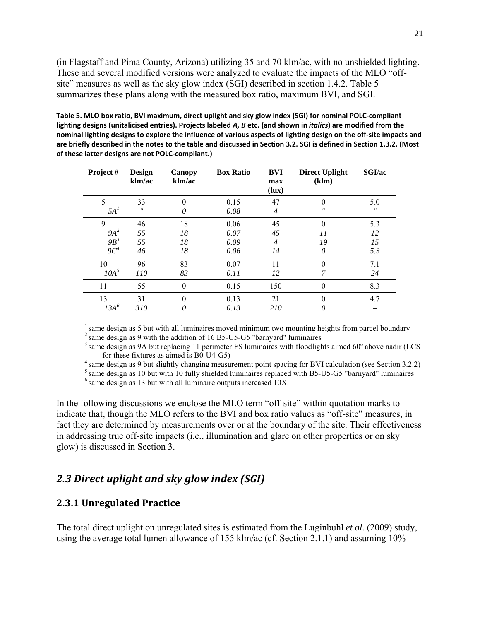(in Flagstaff and Pima County, Arizona) utilizing 35 and 70 klm/ac, with no unshielded lighting. These and several modified versions were analyzed to evaluate the impacts of the MLO "offsite" measures as well as the sky glow index (SGI) described in section 1.4.2. Table 5 summarizes these plans along with the measured box ratio, maximum BVI, and SGI.

Table 5. MLO box ratio, BVI maximum, direct uplight and sky glow index (SGI) for nominal POLC-compliant lighting designs (unitalicised entries). Projects labeled A, B etc. (and shown in *italics*) are modified from the nominal lighting designs to explore the influence of various aspects of lighting design on the off-site impacts and are briefly described in the notes to the table and discussed in Section 3.2. SGI is defined in Section 1.3.2. (Most **of these latter designs are not POLC‐compliant.)**

| Project #        | <b>Design</b><br>klm/ac | Canopy<br>klm/ac | <b>Box Ratio</b> | BVI<br>max<br>(lux)  | <b>Direct Uplight</b><br>(klm) | SGI/ac                   |
|------------------|-------------------------|------------------|------------------|----------------------|--------------------------------|--------------------------|
| 5<br>$5A^I$      | 33<br>$^{\prime\prime}$ | $\theta$<br>0    | 0.15<br>0.08     | 47<br>$\overline{4}$ | $^{\prime\prime}$              | 5.0<br>$^{\prime\prime}$ |
| 9                | 46                      | 18               | 0.06             | 45                   | $\Omega$                       | 5.3                      |
| $9A^2$           | 55                      | 18               | 0.07             | 45                   | 11                             | 12                       |
| $9B^3$<br>$9C^4$ | 55<br>46                | 18<br>18         | 0.09<br>0.06     | $\overline{4}$<br>14 | 19<br>0                        | 15<br>5.3                |
| 10               | 96                      | 83               | 0.07             | 11                   | $\theta$                       | 7.1                      |
| 10A <sup>5</sup> | 110                     | 83               | 0.11             | 12                   | 7                              | 24                       |
| 11               | 55                      | $\boldsymbol{0}$ | 0.15             | 150                  | $\theta$                       | 8.3                      |
| 13               | 31                      | $\theta$         | 0.13             | 21                   | $\theta$                       | 4.7                      |
| $13A^6$          | 310                     | 0                | 0.13             | 210                  | 0                              |                          |

 $<sup>1</sup>$  same design as 5 but with all luminaires moved minimum two mounting heights from parcel boundary</sup>  $2$  same design as 9 with the addition of 16 B5-U5-G5 "barnyard" luminaires

 $3$  same design as 9A but replacing 11 perimeter FS luminaires with floodlights aimed 60 $\degree$  above nadir (LCS for these fixtures as aimed is B0-U4-G5) 4 same design as 9 but slightly changing measurement point spacing for BVI calculation (see Section 3.2.2)

 $^5$  same design as 10 but with 10 fully shielded luminaires replaced with B5-U5-G5 "barnyard" luminaires  $^6$  same design as 13 but with all luminaire outputs increased 10X.

In the following discussions we enclose the MLO term "off-site" within quotation marks to indicate that, though the MLO refers to the BVI and box ratio values as "off-site" measures, in fact they are determined by measurements over or at the boundary of the site. Their effectiveness in addressing true off-site impacts (i.e., illumination and glare on other properties or on sky glow) is discussed in Section 3.

### *2.3 Direct uplight and sky glow index (SGI)*

#### **2.3.1 Unregulated Practice**

The total direct uplight on unregulated sites is estimated from the Luginbuhl *et al.* (2009) study, using the average total lumen allowance of 155 klm/ac (cf. Section 2.1.1) and assuming 10%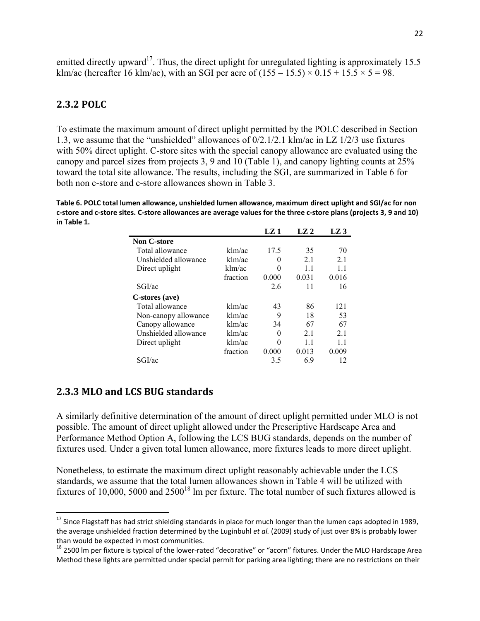emitted directly upward<sup>17</sup>. Thus, the direct uplight for unregulated lighting is approximately 15.5 klm/ac (hereafter 16 klm/ac), with an SGI per acre of  $(155 - 15.5) \times 0.15 + 15.5 \times 5 = 98$ .

#### **2.3.2 POLC**

To estimate the maximum amount of direct uplight permitted by the POLC described in Section 1.3, we assume that the "unshielded" allowances of 0/2.1/2.1 klm/ac in LZ 1/2/3 use fixtures with 50% direct uplight. C-store sites with the special canopy allowance are evaluated using the canopy and parcel sizes from projects 3, 9 and 10 (Table 1), and canopy lighting counts at 25% toward the total site allowance. The results, including the SGI, are summarized in Table 6 for both non c-store and c-store allowances shown in Table 3.

**Table 6. POLC total lumen allowance, unshielded lumen allowance, maximum direct uplight and SGI/ac for non** c-store and c-store sites. C-store allowances are average values for the three c-store plans (projects 3, 9 and 10) **in Table 1.**

|                      |          | $LZ_1$ | LZ <sub>2</sub> | LZ 3  |
|----------------------|----------|--------|-----------------|-------|
| <b>Non C-store</b>   |          |        |                 |       |
| Total allowance      | klm/ac   | 17.5   | 35              | 70    |
| Unshielded allowance | klm/ac   | 0      | 2.1             | 21    |
| Direct uplight       | klm/ac   | 0      | 1.1             | 1.1   |
|                      | fraction | 0.000  | 0.031           | 0.016 |
| SGI/ac               |          | 2.6    | 11              | 16    |
| C-stores (ave)       |          |        |                 |       |
| Total allowance      | klm/ac   | 43     | 86              | 121   |
| Non-canopy allowance | klm/ac   | 9      | 18              | 53    |
| Canopy allowance     | klm/ac   | 34     | 67              | 67    |
| Unshielded allowance | klm/ac   | 0      | 2.1             | 21    |
| Direct uplight       | klm/ac   | 0      | 11              | 11    |
|                      | fraction | 0.000  | 0.013           | 0.009 |
| SGI/ac               |          | 3.5    | 6.9             | 12    |

#### **2.3.3 MLO and LCS BUG standards**

A similarly definitive determination of the amount of direct uplight permitted under MLO is not possible. The amount of direct uplight allowed under the Prescriptive Hardscape Area and Performance Method Option A, following the LCS BUG standards, depends on the number of fixtures used. Under a given total lumen allowance, more fixtures leads to more direct uplight.

Nonetheless, to estimate the maximum direct uplight reasonably achievable under the LCS standards, we assume that the total lumen allowances shown in Table 4 will be utilized with fixtures of 10,000, 5000 and  $2500^{18}$  lm per fixture. The total number of such fixtures allowed is

 $17$  Since Flagstaff has had strict shielding standards in place for much longer than the lumen caps adopted in 1989, the average unshielded fraction determined by the Luginbuhl *et al.* (2009) study of just over 8% is probably lower than would be expected in most communities.<br><sup>18</sup> 2500 lm per fixture is typical of the lower-rated "decorative" or "acorn" fixtures. Under the MLO Hardscape Area

Method these lights are permitted under special permit for parking area lighting; there are no restrictions on their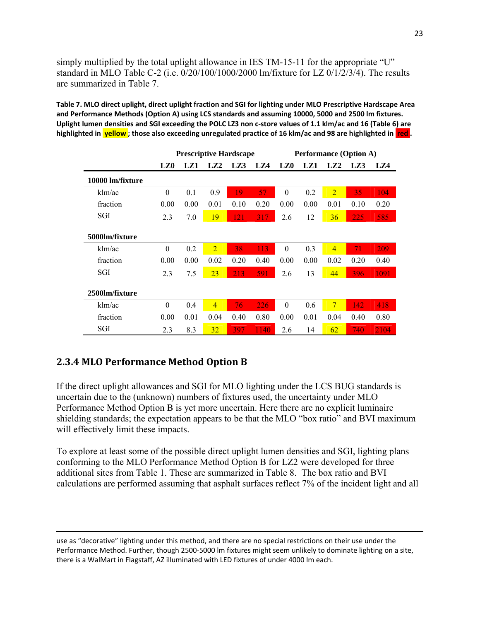simply multiplied by the total uplight allowance in IES TM-15-11 for the appropriate "U" standard in MLO Table C-2 (i.e. 0/20/100/1000/2000 lm/fixture for LZ 0/1/2/3/4). The results are summarized in Table 7.

Table 7. MLO direct uplight, direct uplight fraction and SGI for lighting under MLO Prescriptive Hardscape Area **and Performance Methods (Option A) using LCS standards and assuming 10000, 5000 and 2500 lm fixtures.** Uplight lumen densities and SGI exceeding the POLC LZ3 non c-store values of 1.1 klm/ac and 16 (Table 6) are highlighted in yellow; those also exceeding unregulated practice of 16 klm/ac and 98 are highlighted in red.

|                  | <b>Prescriptive Hardscape</b> |      |                | <b>Performance (Option A)</b> |      |                 |      |                 |      |      |
|------------------|-------------------------------|------|----------------|-------------------------------|------|-----------------|------|-----------------|------|------|
|                  | LZ <sub>0</sub>               | LZ1  | LZ2            | LZ3                           | LZ4  | LZ <sub>0</sub> | LZ1  | LZ <sub>2</sub> | LZ3  | LZ4  |
| 10000 lm/fixture |                               |      |                |                               |      |                 |      |                 |      |      |
| klm/ac           | $\theta$                      | 0.1  | 0.9            | 19                            | 57   | $\theta$        | 0.2  | $\overline{2}$  | 35   | 104  |
| fraction         | 0.00                          | 0.00 | 0.01           | 0.10                          | 0.20 | 0.00            | 0.00 | 0.01            | 0.10 | 0.20 |
| SGI              | 2.3                           | 7.0  | 19             | 121                           | 317  | 2.6             | 12   | 36              | 225  | 585  |
| 5000lm/fixture   |                               |      |                |                               |      |                 |      |                 |      |      |
| klm/ac           | $\theta$                      | 0.2  | $\overline{2}$ | 38                            | 113  | $\theta$        | 0.3  | $\overline{4}$  | 71   | 209  |
| fraction         | 0.00                          | 0.00 | 0.02           | 0.20                          | 0.40 | 0.00            | 0.00 | 0.02            | 0.20 | 0.40 |
| SGI              | 2.3                           | 7.5  | 23             | 213                           | 591  | 2.6             | 13   | 44              | 396  | 1091 |
| 2500lm/fixture   |                               |      |                |                               |      |                 |      |                 |      |      |
| klm/ac           | $\theta$                      | 0.4  | $\overline{4}$ | 76                            | 226  | $\theta$        | 0.6  | $7\phantom{.}$  | 142  | 418  |
| fraction         | 0.00                          | 0.01 | 0.04           | 0.40                          | 0.80 | 0.00            | 0.01 | 0.04            | 0.40 | 0.80 |
| SGI              | 2.3                           | 8.3  | 32             | 397                           | 1140 | 2.6             | 14   | 62              | 740  | 2104 |

## **2.3.4 MLO Performance Method Option B**

If the direct uplight allowances and SGI for MLO lighting under the LCS BUG standards is uncertain due to the (unknown) numbers of fixtures used, the uncertainty under MLO Performance Method Option B is yet more uncertain. Here there are no explicit luminaire shielding standards; the expectation appears to be that the MLO "box ratio" and BVI maximum will effectively limit these impacts.

To explore at least some of the possible direct uplight lumen densities and SGI, lighting plans conforming to the MLO Performance Method Option B for LZ2 were developed for three additional sites from Table 1. These are summarized in Table 8. The box ratio and BVI calculations are performed assuming that asphalt surfaces reflect 7% of the incident light and all

<u> 1989 - Johann Stein, marwolaethau a gweledydd a ganlad y ganlad y ganlad y ganlad y ganlad y ganlad y ganlad</u>

use as "decorative" lighting under this method, and there are no special restrictions on their use under the Performance Method. Further, though 2500‐5000 lm fixtures might seem unlikely to dominate lighting on a site, there is a WalMart in Flagstaff, AZ illuminated with LED fixtures of under 4000 lm each.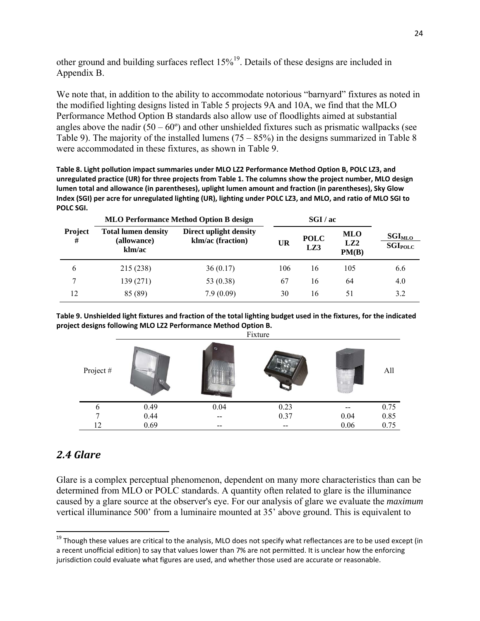other ground and building surfaces reflect  $15\%^{19}$ . Details of these designs are included in Appendix B.

We note that, in addition to the ability to accommodate notorious "barnyard" fixtures as noted in the modified lighting designs listed in Table 5 projects 9A and 10A, we find that the MLO Performance Method Option B standards also allow use of floodlights aimed at substantial angles above the nadir  $(50 - 60^{\circ})$  and other unshielded fixtures such as prismatic wallpacks (see Table 9). The majority of the installed lumens  $(75 - 85%)$  in the designs summarized in Table 8 were accommodated in these fixtures, as shown in Table 9.

**Table 8. Light pollution impact summaries under MLO LZ2 Performance Method Option B, POLC LZ3, and** unregulated practice (UR) for three projects from Table 1. The columns show the project number, MLO design **lumen total and allowance (in parentheses), uplight lumen amount and fraction (in parentheses), Sky Glow** Index (SGI) per acre for unregulated lighting (UR), lighting under POLC LZ3, and MLO, and ratio of MLO SGI to **POLC SGI.**

|                     |                                                     | <b>MLO Performance Method Option B design</b> |           |                    | SGI/ac                          |                                                      |  |  |
|---------------------|-----------------------------------------------------|-----------------------------------------------|-----------|--------------------|---------------------------------|------------------------------------------------------|--|--|
| <b>Project</b><br># | <b>Total lumen density</b><br>(allowance)<br>klm/ac | Direct uplight density<br>klm/ac (fraction)   | <b>UR</b> | <b>POLC</b><br>LZ3 | MLO<br>LZ <sub>2</sub><br>PM(B) | $\textbf{SGI}_{\text{MLO}}$<br>$\mathbf{SGI_{POLC}}$ |  |  |
| 6                   | 215 (238)                                           | 36(0.17)                                      | 106       | 16                 | 105                             | 6.6                                                  |  |  |
| 7                   | 139 (271)                                           | 53 (0.38)                                     | 67        | 16                 | 64                              | 4.0                                                  |  |  |
| 12                  | 85 (89)                                             | 7.9(0.09)                                     | 30        | 16                 | 51                              | 3.2                                                  |  |  |

Table 9. Unshielded light fixtures and fraction of the total lighting budget used in the fixtures, for the indicated **project designs following MLO LZ2 Performance Method Option B.**

|          |      |      | Fixture |          |      |
|----------|------|------|---------|----------|------|
| Project# |      |      |         |          | All  |
| 6        | 0.49 | 0.04 | 0.23    |          | 0.75 |
|          | 0.44 | --   | 0.37    | $0.04\,$ | 0.85 |
| 12       | 0.69 | --   | --      | 0.06     | 0.75 |

## *2.4 Glare*

Glare is a complex perceptual phenomenon, dependent on many more characteristics than can be determined from MLO or POLC standards. A quantity often related to glare is the illuminance caused by a glare source at the observer's eye. For our analysis of glare we evaluate the *maximum* vertical illuminance 500' from a luminaire mounted at 35' above ground. This is equivalent to

 <sup>19</sup> Though these values are critical to the analysis, MLO does not specify what reflectances are to be used except (in a recent unofficial edition) to say that values lower than 7% are not permitted. It is unclear how the enforcing jurisdiction could evaluate what figures are used, and whether those used are accurate or reasonable.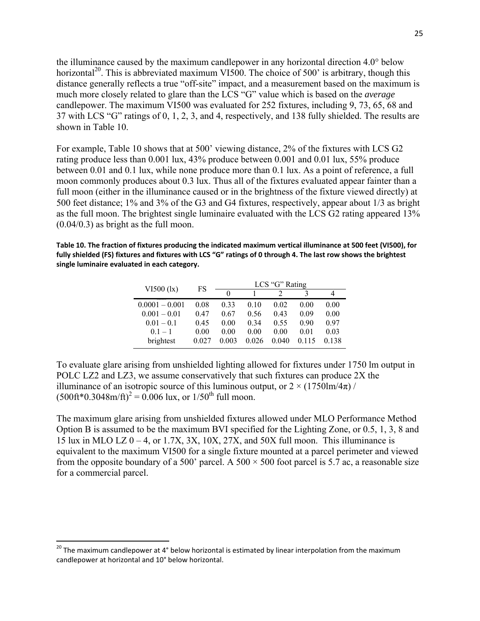the illuminance caused by the maximum candlepower in any horizontal direction 4.0° below horizontal<sup>20</sup>. This is abbreviated maximum VI500. The choice of 500' is arbitrary, though this distance generally reflects a true "off-site" impact, and a measurement based on the maximum is much more closely related to glare than the LCS "G" value which is based on the *average* candlepower. The maximum VI500 was evaluated for 252 fixtures, including 9, 73, 65, 68 and 37 with LCS "G" ratings of 0, 1, 2, 3, and 4, respectively, and 138 fully shielded. The results are shown in Table 10.

For example, Table 10 shows that at 500' viewing distance, 2% of the fixtures with LCS G2 rating produce less than 0.001 lux, 43% produce between 0.001 and 0.01 lux, 55% produce between 0.01 and 0.1 lux, while none produce more than 0.1 lux. As a point of reference, a full moon commonly produces about 0.3 lux. Thus all of the fixtures evaluated appear fainter than a full moon (either in the illuminance caused or in the brightness of the fixture viewed directly) at 500 feet distance; 1% and 3% of the G3 and G4 fixtures, respectively, appear about 1/3 as bright as the full moon. The brightest single luminaire evaluated with the LCS G2 rating appeared 13% (0.04/0.3) as bright as the full moon.

Table 10. The fraction of fixtures producing the indicated maximum vertical illuminance at 500 feet (VI500), for fully shielded (FS) fixtures and fixtures with LCS "G" ratings of 0 through 4. The last row shows the brightest **single luminaire evaluated in each category.**

| $VI500$ ( $lx$ ) | FS    | LCS "G" Rating |       |       |       |       |
|------------------|-------|----------------|-------|-------|-------|-------|
|                  |       | $\mathbf{0}$   |       |       |       |       |
| $0.0001 - 0.001$ | 0.08  | 0.33           | 010   | 0.02  | 0.00  | 0.00  |
| $0.001 - 0.01$   | 0.47  | 0.67           | 0.56  | 0.43  | 0.09  | 0.00  |
| $0.01 - 0.1$     | 0.45  | 0.00           | 0.34  | 0.55  | 0.90  | 0.97  |
| $01 - 1$         | 0.00  | 0.00           | 0.00  | 0.00  | 0.01  | 0.03  |
| brightest        | 0.027 | 0.003          | 0.026 | 0.040 | 0.115 | 0.138 |

To evaluate glare arising from unshielded lighting allowed for fixtures under 1750 lm output in POLC LZ2 and LZ3, we assume conservatively that such fixtures can produce 2X the illuminance of an isotropic source of this luminous output, or  $2 \times (1750 \text{Im}/4\pi)$  /  $(500ft*0.3048m/ft)^{2} = 0.006$  lux, or  $1/50^{th}$  full moon.

The maximum glare arising from unshielded fixtures allowed under MLO Performance Method Option B is assumed to be the maximum BVI specified for the Lighting Zone, or 0.5, 1, 3, 8 and 15 lux in MLO LZ  $0 - 4$ , or 1.7X, 3X, 10X, 27X, and 50X full moon. This illuminance is equivalent to the maximum VI500 for a single fixture mounted at a parcel perimeter and viewed from the opposite boundary of a 500' parcel. A 500  $\times$  500 foot parcel is 5.7 ac, a reasonable size for a commercial parcel.

 $^{20}$  The maximum candlepower at 4° below horizontal is estimated by linear interpolation from the maximum candlepower at horizontal and 10° below horizontal.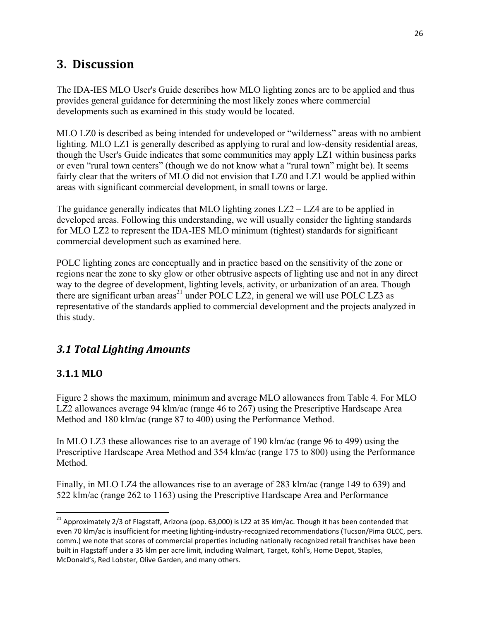## **3.** Discussion

The IDA-IES MLO User's Guide describes how MLO lighting zones are to be applied and thus provides general guidance for determining the most likely zones where commercial developments such as examined in this study would be located.

MLO LZ0 is described as being intended for undeveloped or "wilderness" areas with no ambient lighting. MLO LZ1 is generally described as applying to rural and low-density residential areas, though the User's Guide indicates that some communities may apply LZ1 within business parks or even "rural town centers" (though we do not know what a "rural town" might be). It seems fairly clear that the writers of MLO did not envision that LZ0 and LZ1 would be applied within areas with significant commercial development, in small towns or large.

The guidance generally indicates that MLO lighting zones LZ2 – LZ4 are to be applied in developed areas. Following this understanding, we will usually consider the lighting standards for MLO LZ2 to represent the IDA-IES MLO minimum (tightest) standards for significant commercial development such as examined here.

POLC lighting zones are conceptually and in practice based on the sensitivity of the zone or regions near the zone to sky glow or other obtrusive aspects of lighting use and not in any direct way to the degree of development, lighting levels, activity, or urbanization of an area. Though there are significant urban  $area<sup>21</sup>$  under POLC LZ2, in general we will use POLC LZ3 as representative of the standards applied to commercial development and the projects analyzed in this study.

## *3.1 Total Lighting Amounts*

## **3.1.1 MLO**

Figure 2 shows the maximum, minimum and average MLO allowances from Table 4. For MLO LZ2 allowances average 94 klm/ac (range 46 to 267) using the Prescriptive Hardscape Area Method and 180 klm/ac (range 87 to 400) using the Performance Method.

In MLO LZ3 these allowances rise to an average of 190 klm/ac (range 96 to 499) using the Prescriptive Hardscape Area Method and 354 klm/ac (range 175 to 800) using the Performance Method.

Finally, in MLO LZ4 the allowances rise to an average of 283 klm/ac (range 149 to 639) and 522 klm/ac (range 262 to 1163) using the Prescriptive Hardscape Area and Performance

<sup>&</sup>lt;sup>21</sup> Approximately 2/3 of Flagstaff, Arizona (pop. 63,000) is LZ2 at 35 klm/ac. Though it has been contended that even 70 klm/ac is insufficient for meeting lighting-industry-recognized recommendations (Tucson/Pima OLCC, pers. comm.) we note that scores of commercial properties including nationally recognized retail franchises have been built in Flagstaff under a 35 klm per acre limit, including Walmart, Target, Kohl's, Home Depot, Staples, McDonald's, Red Lobster, Olive Garden, and many others.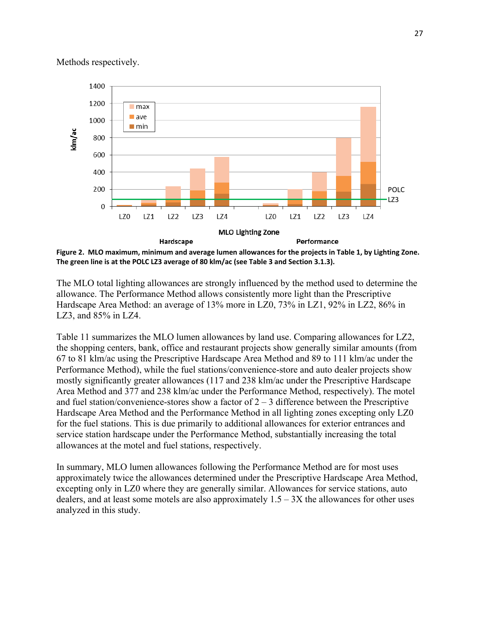#### Methods respectively.



Figure 2. MLO maximum, minimum and average lumen allowances for the projects in Table 1, by Lighting Zone. **The green line is at the POLC LZ3 average of 80 klm/ac (see Table 3 and Section 3.1.3).** 

The MLO total lighting allowances are strongly influenced by the method used to determine the allowance. The Performance Method allows consistently more light than the Prescriptive Hardscape Area Method: an average of 13% more in LZ0, 73% in LZ1, 92% in LZ2, 86% in LZ3, and 85% in LZ4.

Table 11 summarizes the MLO lumen allowances by land use. Comparing allowances for LZ2, the shopping centers, bank, office and restaurant projects show generally similar amounts (from 67 to 81 klm/ac using the Prescriptive Hardscape Area Method and 89 to 111 klm/ac under the Performance Method), while the fuel stations/convenience-store and auto dealer projects show mostly significantly greater allowances (117 and 238 klm/ac under the Prescriptive Hardscape Area Method and 377 and 238 klm/ac under the Performance Method, respectively). The motel and fuel station/convenience-stores show a factor of  $2 - 3$  difference between the Prescriptive Hardscape Area Method and the Performance Method in all lighting zones excepting only LZ0 for the fuel stations. This is due primarily to additional allowances for exterior entrances and service station hardscape under the Performance Method, substantially increasing the total allowances at the motel and fuel stations, respectively.

In summary, MLO lumen allowances following the Performance Method are for most uses approximately twice the allowances determined under the Prescriptive Hardscape Area Method, excepting only in LZ0 where they are generally similar. Allowances for service stations, auto dealers, and at least some motels are also approximately  $1.5 - 3X$  the allowances for other uses analyzed in this study.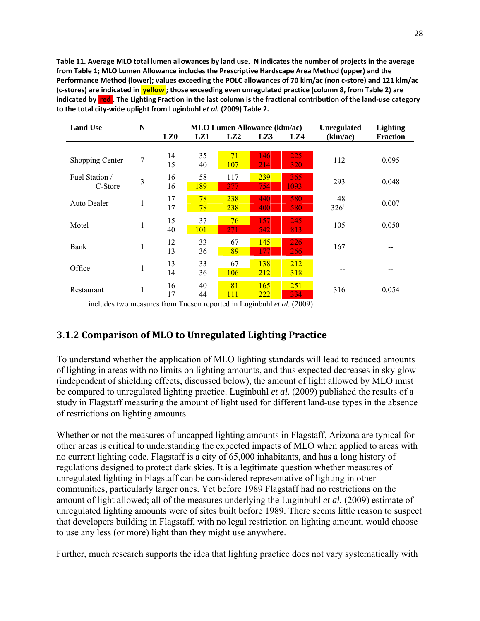Table 11. Average MLO total lumen allowances by land use. N indicates the number of projects in the average **from Table 1; MLO Lumen Allowance includes the Prescriptive Hardscape Area Method (upper) and the** Performance Method (lower); values exceeding the POLC allowances of 70 klm/ac (non c-store) and 121 klm/ac (c-stores) are indicated in **yellow**; those exceeding even unregulated practice (column 8, from Table 2) are indicated by red. The Lighting Fraction in the last column is the fractional contribution of the land-use category **to the total city‐wide uplight from Luginbuhl** *et al.* **(2009) Table 2.**

| <b>Land Use</b>    | N |              | <b>MLO Lumen Allowance (klm/ac)</b> |            |                   | <b>Unregulated</b> | <b>Lighting</b> |                 |
|--------------------|---|--------------|-------------------------------------|------------|-------------------|--------------------|-----------------|-----------------|
|                    |   | LZ0          | LZ1                                 | LZ2        | LZ3               | LZ4                | (klm/ac)        | <b>Fraction</b> |
|                    |   |              |                                     |            |                   |                    |                 |                 |
| Shopping Center    | 7 | 14           | 35                                  | 71         | 146               | 225                | 112             | 0.095           |
|                    |   | 15           | 40                                  | <b>107</b> | 214               | 320                |                 |                 |
| Fuel Station /     |   | 16           | 58                                  | 117        | 239               | 365                |                 |                 |
| C-Store            | 3 | 16           | 189                                 | 377        | 754               | 1093               | 293             | 0.048           |
|                    |   | 17           | 78                                  | 238        | 440               | 580                | 48              |                 |
| <b>Auto Dealer</b> | 1 | 17           | 78                                  | 238        | 400               | 580                | $326^1$         | 0.007           |
|                    |   |              |                                     |            |                   |                    |                 |                 |
| Motel              | 1 | 15           | 37                                  | 76         | 157               | 245                | 105             | 0.050           |
|                    |   | 40           | 101                                 | 271        | 542               | 813                |                 |                 |
| Bank               |   | 12           | 33                                  | 67         | 145               | 226                | 167             |                 |
|                    | 1 | 13           | 36                                  | 89         | 177               | <b>266</b>         |                 |                 |
|                    |   | 13           | 33                                  | 67         | 138               | 212                |                 |                 |
| Office             | 1 | 14           | 36                                  | <b>106</b> | <u>212</u>        | 318                |                 |                 |
|                    |   |              |                                     |            |                   |                    |                 |                 |
| Restaurant         | 1 | 16           | 40                                  | 81         | 165               | 251                | 316             | 0.054           |
| $1 - 1$            |   | 17<br>$\sim$ | 44                                  | 111        | <u>222</u><br>. . | 334                |                 |                 |

<sup>1</sup> includes two measures from Tucson reported in Luginbuhl *et al.* (2009)

### **3.1.2 Comparison of MLO to Unregulated Lighting Practice**

To understand whether the application of MLO lighting standards will lead to reduced amounts of lighting in areas with no limits on lighting amounts, and thus expected decreases in sky glow (independent of shielding effects, discussed below), the amount of light allowed by MLO must be compared to unregulated lighting practice. Luginbuhl *et al.* (2009) published the results of a study in Flagstaff measuring the amount of light used for different land-use types in the absence of restrictions on lighting amounts.

Whether or not the measures of uncapped lighting amounts in Flagstaff, Arizona are typical for other areas is critical to understanding the expected impacts of MLO when applied to areas with no current lighting code. Flagstaff is a city of 65,000 inhabitants, and has a long history of regulations designed to protect dark skies. It is a legitimate question whether measures of unregulated lighting in Flagstaff can be considered representative of lighting in other communities, particularly larger ones. Yet before 1989 Flagstaff had no restrictions on the amount of light allowed; all of the measures underlying the Luginbuhl *et al.* (2009) estimate of unregulated lighting amounts were of sites built before 1989. There seems little reason to suspect that developers building in Flagstaff, with no legal restriction on lighting amount, would choose to use any less (or more) light than they might use anywhere.

Further, much research supports the idea that lighting practice does not vary systematically with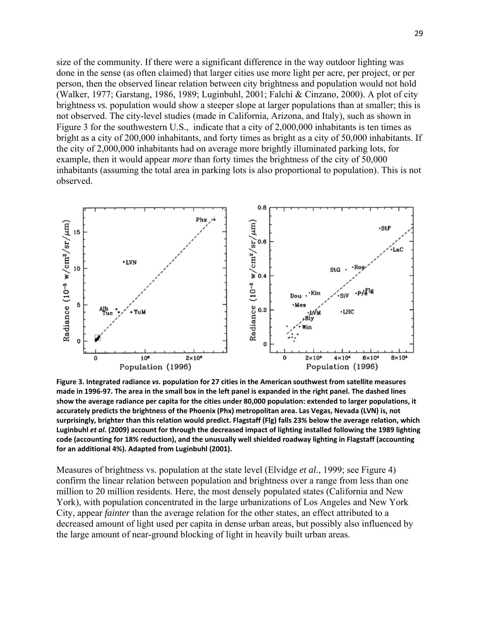size of the community. If there were a significant difference in the way outdoor lighting was done in the sense (as often claimed) that larger cities use more light per acre, per project, or per person, then the observed linear relation between city brightness and population would not hold (Walker, 1977; Garstang, 1986, 1989; Luginbuhl, 2001; Falchi & Cinzano, 2000). A plot of city brightness *vs.* population would show a steeper slope at larger populations than at smaller; this is not observed. The city-level studies (made in California, Arizona, and Italy), such as shown in Figure 3 for the southwestern U.S., indicate that a city of 2,000,000 inhabitants is ten times as bright as a city of 200,000 inhabitants, and forty times as bright as a city of 50,000 inhabitants. If the city of 2,000,000 inhabitants had on average more brightly illuminated parking lots, for example, then it would appear *more* than forty times the brightness of the city of 50,000 inhabitants (assuming the total area in parking lots is also proportional to population). This is not observed.



**Figure 3. Integrated radiance** *vs.* **population for 27 cities in the American southwest from satellite measures** made in 1996-97. The area in the small box in the left panel is expanded in the right panel. The dashed lines show the average radiance per capita for the cities under 80,000 population: extended to larger populations, it **accurately predicts the brightness of the Phoenix (Phx) metropolitan area. Las Vegas, Nevada (LVN) is, not** surprisingly, brighter than this relation would predict. Flagstaff (FIg) falls 23% below the average relation, which Luginbuhl et al. (2009) account for through the decreased impact of lighting installed following the 1989 lighting **code (accounting for 18% reduction), and the unusually well shielded roadway lighting in Flagstaff (accounting for an additional 4%). Adapted from Luginbuhl (2001).**

Measures of brightness vs. population at the state level (Elvidge *et al.*, 1999; see Figure 4) confirm the linear relation between population and brightness over a range from less than one million to 20 million residents. Here, the most densely populated states (California and New York), with population concentrated in the large urbanizations of Los Angeles and New York City, appear *fainter* than the average relation for the other states, an effect attributed to a decreased amount of light used per capita in dense urban areas, but possibly also influenced by the large amount of near-ground blocking of light in heavily built urban areas.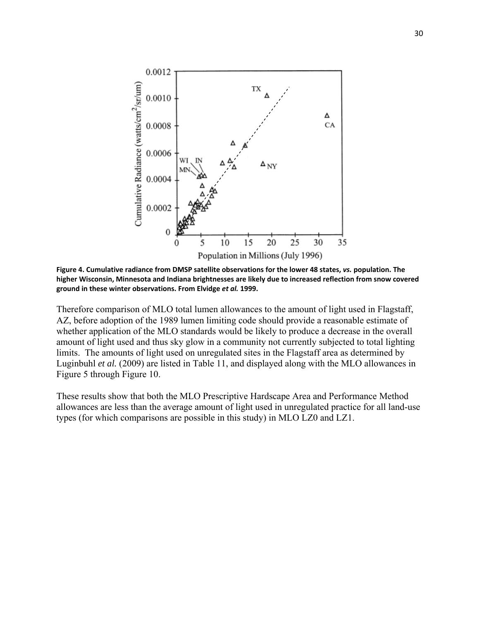

**Figure 4. Cumulative radiance from DMSP satellite observations for the lower 48 states,** *vs.* **population. The higher Wisconsin, Minnesota and Indiana brightnesses are likely due to increased reflection from snow covered ground in these winter observations. From Elvidge** *et al.* **1999.**

Therefore comparison of MLO total lumen allowances to the amount of light used in Flagstaff, AZ, before adoption of the 1989 lumen limiting code should provide a reasonable estimate of whether application of the MLO standards would be likely to produce a decrease in the overall amount of light used and thus sky glow in a community not currently subjected to total lighting limits. The amounts of light used on unregulated sites in the Flagstaff area as determined by Luginbuhl *et al.* (2009) are listed in Table 11, and displayed along with the MLO allowances in Figure 5 through Figure 10.

These results show that both the MLO Prescriptive Hardscape Area and Performance Method allowances are less than the average amount of light used in unregulated practice for all land-use types (for which comparisons are possible in this study) in MLO LZ0 and LZ1.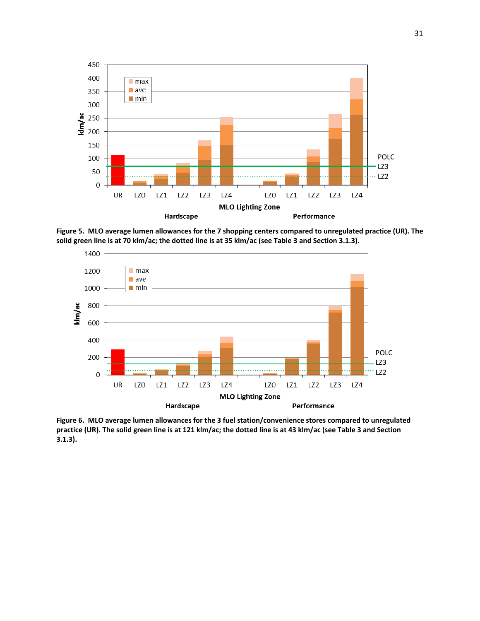

Figure 5. MLO average lumen allowances for the 7 shopping centers compared to unregulated practice (UR). The solid green line is at 70 klm/ac; the dotted line is at 35 klm/ac (see Table 3 and Section 3.1.3).



**Figure 6. MLO average lumen allowances for the 3 fuel station/convenience stores compared to unregulated** practice (UR). The solid green line is at 121 klm/ac; the dotted line is at 43 klm/ac (see Table 3 and Section **3.1.3).**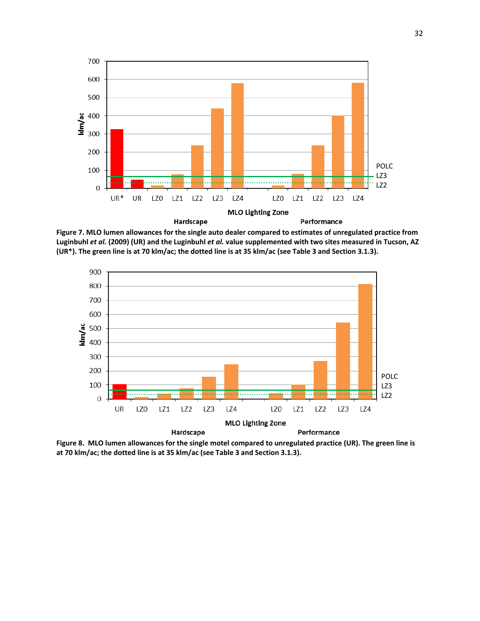

Figure 7. MLO lumen allowances for the single auto dealer compared to estimates of unregulated practice from Luginbuhl et al. (2009) (UR) and the Luginbuhl et al. value supplemented with two sites measured in Tucson, AZ (UR\*). The green line is at 70 klm/ac; the dotted line is at 35 klm/ac (see Table 3 and Section 3.1.3).



Figure 8. MLO lumen allowances for the single motel compared to unregulated practice (UR). The green line is **at 70 klm/ac; the dotted line is at 35 klm/ac (see Table 3 and Section 3.1.3).**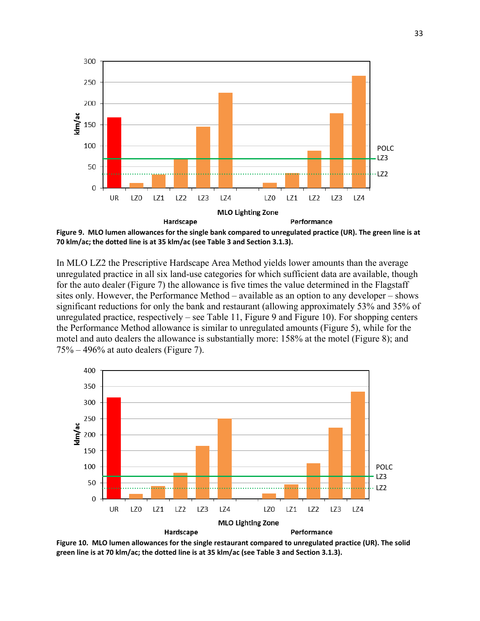

Figure 9. MLO lumen allowances for the single bank compared to unregulated practice (UR). The green line is at **70 klm/ac; the dotted line is at 35 klm/ac (see Table 3 and Section 3.1.3).** 

In MLO LZ2 the Prescriptive Hardscape Area Method yields lower amounts than the average unregulated practice in all six land-use categories for which sufficient data are available, though for the auto dealer (Figure 7) the allowance is five times the value determined in the Flagstaff sites only. However, the Performance Method – available as an option to any developer – shows significant reductions for only the bank and restaurant (allowing approximately 53% and 35% of unregulated practice, respectively – see Table 11, Figure 9 and Figure 10). For shopping centers the Performance Method allowance is similar to unregulated amounts (Figure 5), while for the motel and auto dealers the allowance is substantially more: 158% at the motel (Figure 8); and  $75\% - 496\%$  at auto dealers (Figure 7).



Figure 10. MLO lumen allowances for the single restaurant compared to unregulated practice (UR). The solid green line is at 70 klm/ac; the dotted line is at 35 klm/ac (see Table 3 and Section 3.1.3).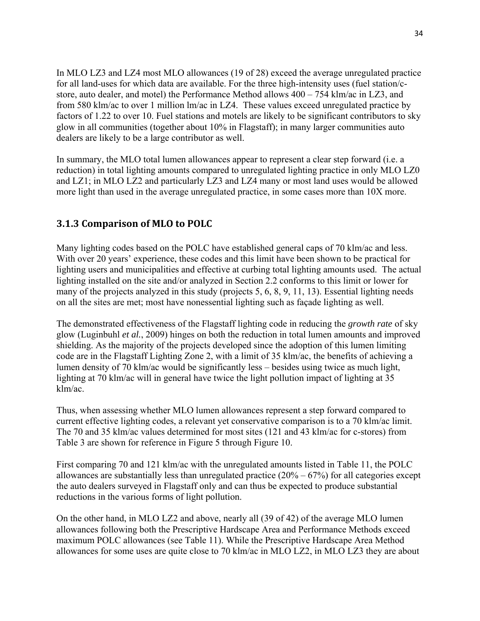In MLO LZ3 and LZ4 most MLO allowances (19 of 28) exceed the average unregulated practice for all land-uses for which data are available. For the three high-intensity uses (fuel station/cstore, auto dealer, and motel) the Performance Method allows 400 – 754 klm/ac in LZ3, and from 580 klm/ac to over 1 million lm/ac in LZ4. These values exceed unregulated practice by factors of 1.22 to over 10. Fuel stations and motels are likely to be significant contributors to sky glow in all communities (together about 10% in Flagstaff); in many larger communities auto dealers are likely to be a large contributor as well.

In summary, the MLO total lumen allowances appear to represent a clear step forward (i.e. a reduction) in total lighting amounts compared to unregulated lighting practice in only MLO LZ0 and LZ1; in MLO LZ2 and particularly LZ3 and LZ4 many or most land uses would be allowed more light than used in the average unregulated practice, in some cases more than 10X more.

### **3.1.3 Comparison of MLO to POLC**

Many lighting codes based on the POLC have established general caps of 70 klm/ac and less. With over 20 years' experience, these codes and this limit have been shown to be practical for lighting users and municipalities and effective at curbing total lighting amounts used. The actual lighting installed on the site and/or analyzed in Section 2.2 conforms to this limit or lower for many of the projects analyzed in this study (projects 5, 6, 8, 9, 11, 13). Essential lighting needs on all the sites are met; most have nonessential lighting such as façade lighting as well.

The demonstrated effectiveness of the Flagstaff lighting code in reducing the *growth rate* of sky glow (Luginbuhl *et al.*, 2009) hinges on both the reduction in total lumen amounts and improved shielding. As the majority of the projects developed since the adoption of this lumen limiting code are in the Flagstaff Lighting Zone 2, with a limit of 35 klm/ac, the benefits of achieving a lumen density of 70 klm/ac would be significantly less – besides using twice as much light, lighting at 70 klm/ac will in general have twice the light pollution impact of lighting at 35 klm/ac.

Thus, when assessing whether MLO lumen allowances represent a step forward compared to current effective lighting codes, a relevant yet conservative comparison is to a 70 klm/ac limit. The 70 and 35 klm/ac values determined for most sites (121 and 43 klm/ac for c-stores) from Table 3 are shown for reference in Figure 5 through Figure 10.

First comparing 70 and 121 klm/ac with the unregulated amounts listed in Table 11, the POLC allowances are substantially less than unregulated practice  $(20\% - 67\%)$  for all categories except the auto dealers surveyed in Flagstaff only and can thus be expected to produce substantial reductions in the various forms of light pollution.

On the other hand, in MLO LZ2 and above, nearly all (39 of 42) of the average MLO lumen allowances following both the Prescriptive Hardscape Area and Performance Methods exceed maximum POLC allowances (see Table 11). While the Prescriptive Hardscape Area Method allowances for some uses are quite close to 70 klm/ac in MLO LZ2, in MLO LZ3 they are about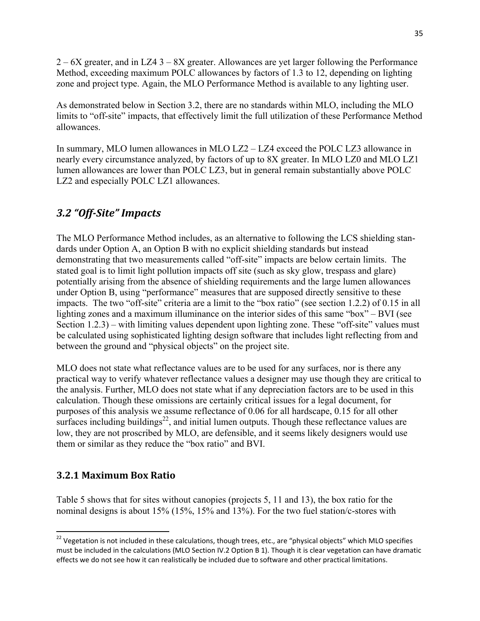2 – 6X greater, and in LZ4 3 – 8X greater. Allowances are yet larger following the Performance Method, exceeding maximum POLC allowances by factors of 1.3 to 12, depending on lighting zone and project type. Again, the MLO Performance Method is available to any lighting user.

As demonstrated below in Section 3.2, there are no standards within MLO, including the MLO limits to "off-site" impacts, that effectively limit the full utilization of these Performance Method allowances.

In summary, MLO lumen allowances in MLO LZ2 – LZ4 exceed the POLC LZ3 allowance in nearly every circumstance analyzed, by factors of up to 8X greater. In MLO LZ0 and MLO LZ1 lumen allowances are lower than POLC LZ3, but in general remain substantially above POLC LZ2 and especially POLC LZ1 allowances.

## *3.2 "Off‐Site" Impacts*

The MLO Performance Method includes, as an alternative to following the LCS shielding standards under Option A, an Option B with no explicit shielding standards but instead demonstrating that two measurements called "off-site" impacts are below certain limits. The stated goal is to limit light pollution impacts off site (such as sky glow, trespass and glare) potentially arising from the absence of shielding requirements and the large lumen allowances under Option B, using "performance" measures that are supposed directly sensitive to these impacts. The two "off-site" criteria are a limit to the "box ratio" (see section 1.2.2) of 0.15 in all lighting zones and a maximum illuminance on the interior sides of this same "box" – BVI (see Section 1.2.3) – with limiting values dependent upon lighting zone. These "off-site" values must be calculated using sophisticated lighting design software that includes light reflecting from and between the ground and "physical objects" on the project site.

MLO does not state what reflectance values are to be used for any surfaces, nor is there any practical way to verify whatever reflectance values a designer may use though they are critical to the analysis. Further, MLO does not state what if any depreciation factors are to be used in this calculation. Though these omissions are certainly critical issues for a legal document, for purposes of this analysis we assume reflectance of 0.06 for all hardscape, 0.15 for all other surfaces including buildings $2^2$ , and initial lumen outputs. Though these reflectance values are low, they are not proscribed by MLO, are defensible, and it seems likely designers would use them or similar as they reduce the "box ratio" and BVI.

### **3.2.1 Maximum Box Ratio**

Table 5 shows that for sites without canopies (projects 5, 11 and 13), the box ratio for the nominal designs is about 15% (15%, 15% and 13%). For the two fuel station/c-stores with

  $^{22}$  Vegetation is not included in these calculations, though trees, etc., are "physical objects" which MLO specifies must be included in the calculations (MLO Section IV.2 Option B 1). Though it is clear vegetation can have dramatic effects we do not see how it can realistically be included due to software and other practical limitations.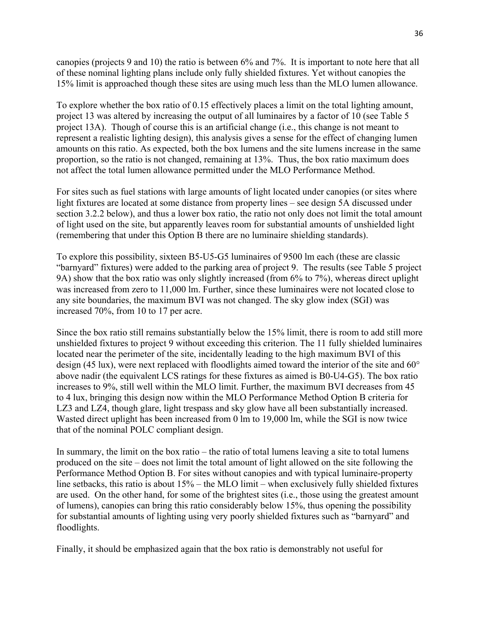canopies (projects 9 and 10) the ratio is between 6% and 7%. It is important to note here that all of these nominal lighting plans include only fully shielded fixtures. Yet without canopies the 15% limit is approached though these sites are using much less than the MLO lumen allowance.

To explore whether the box ratio of 0.15 effectively places a limit on the total lighting amount, project 13 was altered by increasing the output of all luminaires by a factor of 10 (see Table 5 project 13A). Though of course this is an artificial change (i.e., this change is not meant to represent a realistic lighting design), this analysis gives a sense for the effect of changing lumen amounts on this ratio. As expected, both the box lumens and the site lumens increase in the same proportion, so the ratio is not changed, remaining at 13%. Thus, the box ratio maximum does not affect the total lumen allowance permitted under the MLO Performance Method.

For sites such as fuel stations with large amounts of light located under canopies (or sites where light fixtures are located at some distance from property lines – see design 5A discussed under section 3.2.2 below), and thus a lower box ratio, the ratio not only does not limit the total amount of light used on the site, but apparently leaves room for substantial amounts of unshielded light (remembering that under this Option B there are no luminaire shielding standards).

To explore this possibility, sixteen B5-U5-G5 luminaires of 9500 lm each (these are classic "barnyard" fixtures) were added to the parking area of project 9. The results (see Table 5 project 9A) show that the box ratio was only slightly increased (from 6% to 7%), whereas direct uplight was increased from zero to 11,000 lm. Further, since these luminaires were not located close to any site boundaries, the maximum BVI was not changed. The sky glow index (SGI) was increased 70%, from 10 to 17 per acre.

Since the box ratio still remains substantially below the 15% limit, there is room to add still more unshielded fixtures to project 9 without exceeding this criterion. The 11 fully shielded luminaires located near the perimeter of the site, incidentally leading to the high maximum BVI of this design (45 lux), were next replaced with floodlights aimed toward the interior of the site and 60° above nadir (the equivalent LCS ratings for these fixtures as aimed is B0-U4-G5). The box ratio increases to 9%, still well within the MLO limit. Further, the maximum BVI decreases from 45 to 4 lux, bringing this design now within the MLO Performance Method Option B criteria for LZ3 and LZ4, though glare, light trespass and sky glow have all been substantially increased. Wasted direct uplight has been increased from 0 lm to 19,000 lm, while the SGI is now twice that of the nominal POLC compliant design.

In summary, the limit on the box ratio – the ratio of total lumens leaving a site to total lumens produced on the site – does not limit the total amount of light allowed on the site following the Performance Method Option B. For sites without canopies and with typical luminaire-property line setbacks, this ratio is about  $15\%$  – the MLO limit – when exclusively fully shielded fixtures are used. On the other hand, for some of the brightest sites (i.e., those using the greatest amount of lumens), canopies can bring this ratio considerably below 15%, thus opening the possibility for substantial amounts of lighting using very poorly shielded fixtures such as "barnyard" and floodlights.

Finally, it should be emphasized again that the box ratio is demonstrably not useful for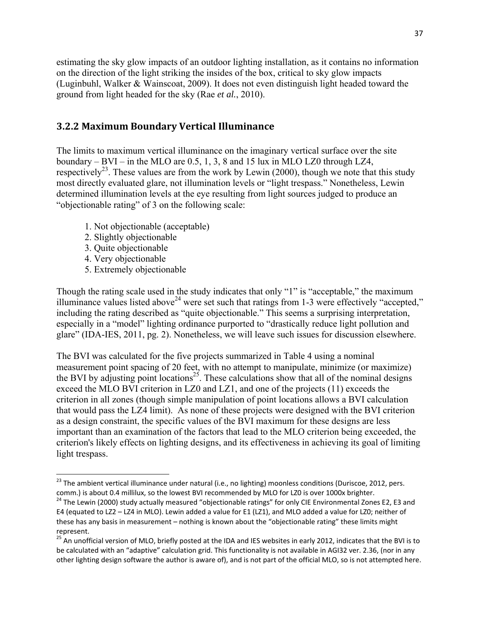estimating the sky glow impacts of an outdoor lighting installation, as it contains no information on the direction of the light striking the insides of the box, critical to sky glow impacts (Luginbuhl, Walker & Wainscoat, 2009). It does not even distinguish light headed toward the ground from light headed for the sky (Rae *et al.*, 2010).

#### **3.2.2 Maximum Boundary Vertical Illuminance**

The limits to maximum vertical illuminance on the imaginary vertical surface over the site boundary – BVI – in the MLO are  $0.5, 1, 3, 8$  and 15 lux in MLO LZ0 through LZ4, respectively<sup>23</sup>. These values are from the work by Lewin (2000), though we note that this study most directly evaluated glare, not illumination levels or "light trespass." Nonetheless, Lewin determined illumination levels at the eye resulting from light sources judged to produce an "objectionable rating" of 3 on the following scale:

- 1. Not objectionable (acceptable)
- 2. Slightly objectionable
- 3. Quite objectionable
- 4. Very objectionable

5. Extremely objectionable

Though the rating scale used in the study indicates that only "1" is "acceptable," the maximum illuminance values listed above<sup>24</sup> were set such that ratings from 1-3 were effectively "accepted," including the rating described as "quite objectionable." This seems a surprising interpretation, especially in a "model" lighting ordinance purported to "drastically reduce light pollution and glare" (IDA-IES, 2011, pg. 2). Nonetheless, we will leave such issues for discussion elsewhere.

The BVI was calculated for the five projects summarized in Table 4 using a nominal measurement point spacing of 20 feet, with no attempt to manipulate, minimize (or maximize) the BVI by adjusting point locations<sup>25</sup>. These calculations show that all of the nominal designs exceed the MLO BVI criterion in LZ0 and LZ1, and one of the projects (11) exceeds the criterion in all zones (though simple manipulation of point locations allows a BVI calculation that would pass the LZ4 limit). As none of these projects were designed with the BVI criterion as a design constraint, the specific values of the BVI maximum for these designs are less important than an examination of the factors that lead to the MLO criterion being exceeded, the criterion's likely effects on lighting designs, and its effectiveness in achieving its goal of limiting light trespass.

<sup>&</sup>lt;sup>23</sup> The ambient vertical illuminance under natural (i.e., no lighting) moonless conditions (Duriscoe, 2012, pers. comm.) is about 0.4 millilux, so the lowest BVI recommended by MLO for LZ0 is over 1000x brighter.<br><sup>24</sup> The Lewin (2000) study actually measured "objectionable ratings" for only CIE Environmental Zones E2, E3 and

E4 (equated to LZ2 – LZ4 in MLO). Lewin added a value for E1 (LZ1), and MLO added a value for LZ0; neither of these has any basis in measurement – nothing is known about the "objectionable rating" these limits might represent.

<sup>&</sup>lt;sup>25</sup> An unofficial version of MLO, briefly posted at the IDA and IES websites in early 2012, indicates that the BVI is to be calculated with an "adaptive" calculation grid. This functionality is not available in AGI32 ver. 2.36, (nor in any other lighting design software the author is aware of), and is not part of the official MLO, so is not attempted here.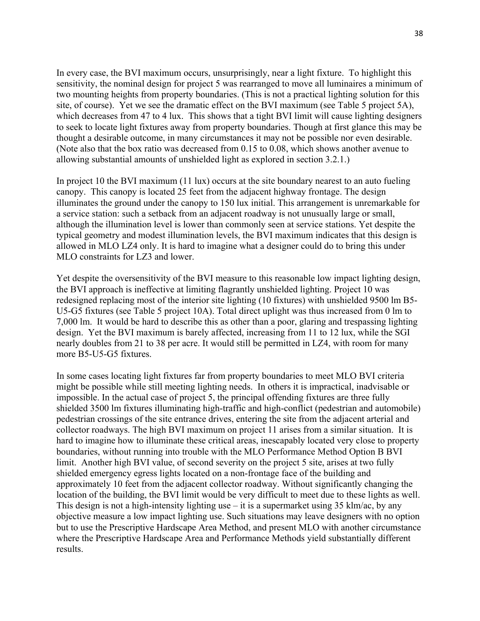In every case, the BVI maximum occurs, unsurprisingly, near a light fixture. To highlight this sensitivity, the nominal design for project 5 was rearranged to move all luminaires a minimum of two mounting heights from property boundaries. (This is not a practical lighting solution for this site, of course). Yet we see the dramatic effect on the BVI maximum (see Table 5 project 5A), which decreases from 47 to 4 lux. This shows that a tight BVI limit will cause lighting designers to seek to locate light fixtures away from property boundaries. Though at first glance this may be thought a desirable outcome, in many circumstances it may not be possible nor even desirable. (Note also that the box ratio was decreased from 0.15 to 0.08, which shows another avenue to allowing substantial amounts of unshielded light as explored in section 3.2.1.)

In project 10 the BVI maximum (11 lux) occurs at the site boundary nearest to an auto fueling canopy. This canopy is located 25 feet from the adjacent highway frontage. The design illuminates the ground under the canopy to 150 lux initial. This arrangement is unremarkable for a service station: such a setback from an adjacent roadway is not unusually large or small, although the illumination level is lower than commonly seen at service stations. Yet despite the typical geometry and modest illumination levels, the BVI maximum indicates that this design is allowed in MLO LZ4 only. It is hard to imagine what a designer could do to bring this under MLO constraints for LZ3 and lower.

Yet despite the oversensitivity of the BVI measure to this reasonable low impact lighting design, the BVI approach is ineffective at limiting flagrantly unshielded lighting. Project 10 was redesigned replacing most of the interior site lighting (10 fixtures) with unshielded 9500 lm B5- U5-G5 fixtures (see Table 5 project 10A). Total direct uplight was thus increased from 0 lm to 7,000 lm. It would be hard to describe this as other than a poor, glaring and trespassing lighting design. Yet the BVI maximum is barely affected, increasing from 11 to 12 lux, while the SGI nearly doubles from 21 to 38 per acre. It would still be permitted in LZ4, with room for many more B5-U5-G5 fixtures.

In some cases locating light fixtures far from property boundaries to meet MLO BVI criteria might be possible while still meeting lighting needs. In others it is impractical, inadvisable or impossible. In the actual case of project 5, the principal offending fixtures are three fully shielded 3500 lm fixtures illuminating high-traffic and high-conflict (pedestrian and automobile) pedestrian crossings of the site entrance drives, entering the site from the adjacent arterial and collector roadways. The high BVI maximum on project 11 arises from a similar situation. It is hard to imagine how to illuminate these critical areas, inescapably located very close to property boundaries, without running into trouble with the MLO Performance Method Option B BVI limit. Another high BVI value, of second severity on the project 5 site, arises at two fully shielded emergency egress lights located on a non-frontage face of the building and approximately 10 feet from the adjacent collector roadway. Without significantly changing the location of the building, the BVI limit would be very difficult to meet due to these lights as well. This design is not a high-intensity lighting use – it is a supermarket using 35 klm/ac, by any objective measure a low impact lighting use. Such situations may leave designers with no option but to use the Prescriptive Hardscape Area Method, and present MLO with another circumstance where the Prescriptive Hardscape Area and Performance Methods yield substantially different results.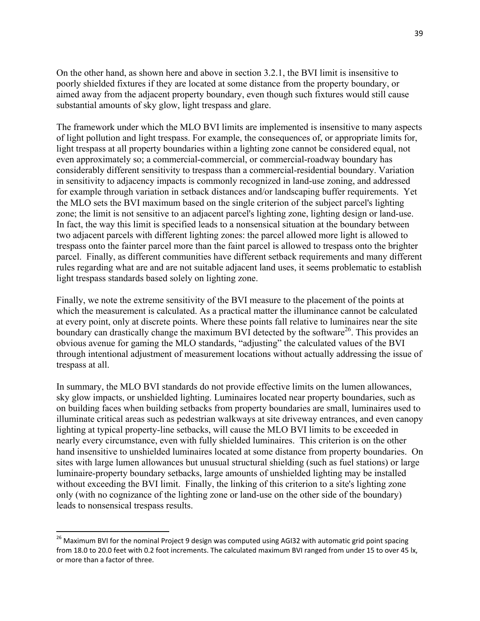On the other hand, as shown here and above in section 3.2.1, the BVI limit is insensitive to poorly shielded fixtures if they are located at some distance from the property boundary, or aimed away from the adjacent property boundary, even though such fixtures would still cause substantial amounts of sky glow, light trespass and glare.

The framework under which the MLO BVI limits are implemented is insensitive to many aspects of light pollution and light trespass. For example, the consequences of, or appropriate limits for, light trespass at all property boundaries within a lighting zone cannot be considered equal, not even approximately so; a commercial-commercial, or commercial-roadway boundary has considerably different sensitivity to trespass than a commercial-residential boundary. Variation in sensitivity to adjacency impacts is commonly recognized in land-use zoning, and addressed for example through variation in setback distances and/or landscaping buffer requirements. Yet the MLO sets the BVI maximum based on the single criterion of the subject parcel's lighting zone; the limit is not sensitive to an adjacent parcel's lighting zone, lighting design or land-use. In fact, the way this limit is specified leads to a nonsensical situation at the boundary between two adjacent parcels with different lighting zones: the parcel allowed more light is allowed to trespass onto the fainter parcel more than the faint parcel is allowed to trespass onto the brighter parcel. Finally, as different communities have different setback requirements and many different rules regarding what are and are not suitable adjacent land uses, it seems problematic to establish light trespass standards based solely on lighting zone.

Finally, we note the extreme sensitivity of the BVI measure to the placement of the points at which the measurement is calculated. As a practical matter the illuminance cannot be calculated at every point, only at discrete points. Where these points fall relative to luminaires near the site boundary can drastically change the maximum BVI detected by the software<sup>26</sup>. This provides an obvious avenue for gaming the MLO standards, "adjusting" the calculated values of the BVI through intentional adjustment of measurement locations without actually addressing the issue of trespass at all.

In summary, the MLO BVI standards do not provide effective limits on the lumen allowances, sky glow impacts, or unshielded lighting. Luminaires located near property boundaries, such as on building faces when building setbacks from property boundaries are small, luminaires used to illuminate critical areas such as pedestrian walkways at site driveway entrances, and even canopy lighting at typical property-line setbacks, will cause the MLO BVI limits to be exceeded in nearly every circumstance, even with fully shielded luminaires. This criterion is on the other hand insensitive to unshielded luminaires located at some distance from property boundaries. On sites with large lumen allowances but unusual structural shielding (such as fuel stations) or large luminaire-property boundary setbacks, large amounts of unshielded lighting may be installed without exceeding the BVI limit. Finally, the linking of this criterion to a site's lighting zone only (with no cognizance of the lighting zone or land-use on the other side of the boundary) leads to nonsensical trespass results.

<sup>&</sup>lt;sup>26</sup> Maximum BVI for the nominal Project 9 design was computed using AGI32 with automatic grid point spacing from 18.0 to 20.0 feet with 0.2 foot increments. The calculated maximum BVI ranged from under 15 to over 45 lx, or more than a factor of three.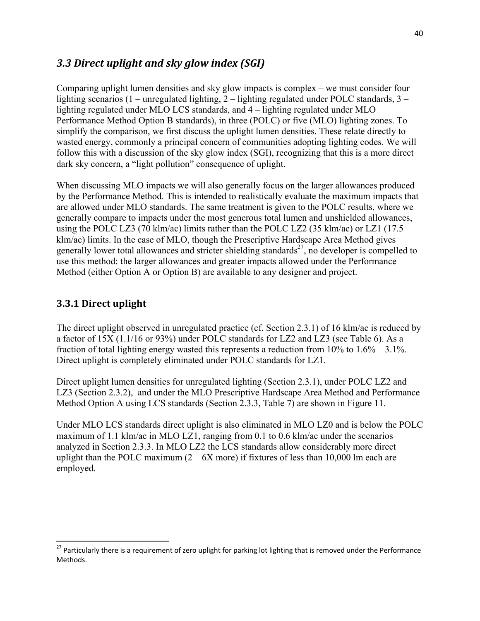### *3.3 Direct uplight and sky glow index (SGI)*

Comparing uplight lumen densities and sky glow impacts is complex – we must consider four lighting scenarios (1 – unregulated lighting, 2 – lighting regulated under POLC standards, 3 – lighting regulated under MLO LCS standards, and 4 – lighting regulated under MLO Performance Method Option B standards), in three (POLC) or five (MLO) lighting zones. To simplify the comparison, we first discuss the uplight lumen densities. These relate directly to wasted energy, commonly a principal concern of communities adopting lighting codes. We will follow this with a discussion of the sky glow index (SGI), recognizing that this is a more direct dark sky concern, a "light pollution" consequence of uplight.

When discussing MLO impacts we will also generally focus on the larger allowances produced by the Performance Method. This is intended to realistically evaluate the maximum impacts that are allowed under MLO standards. The same treatment is given to the POLC results, where we generally compare to impacts under the most generous total lumen and unshielded allowances, using the POLC LZ3 (70 klm/ac) limits rather than the POLC LZ2 (35 klm/ac) or LZ1 (17.5 klm/ac) limits. In the case of MLO, though the Prescriptive Hardscape Area Method gives generally lower total allowances and stricter shielding standards<sup>27</sup>, no developer is compelled to use this method: the larger allowances and greater impacts allowed under the Performance Method (either Option A or Option B) are available to any designer and project.

### **3.3.1 Direct uplight**

The direct uplight observed in unregulated practice (cf. Section 2.3.1) of 16 klm/ac is reduced by a factor of 15X (1.1/16 or 93%) under POLC standards for LZ2 and LZ3 (see Table 6). As a fraction of total lighting energy wasted this represents a reduction from  $10\%$  to  $1.6\%$  – 3.1%. Direct uplight is completely eliminated under POLC standards for LZ1.

Direct uplight lumen densities for unregulated lighting (Section 2.3.1), under POLC LZ2 and LZ3 (Section 2.3.2), and under the MLO Prescriptive Hardscape Area Method and Performance Method Option A using LCS standards (Section 2.3.3, Table 7) are shown in Figure 11.

Under MLO LCS standards direct uplight is also eliminated in MLO LZ0 and is below the POLC maximum of 1.1 klm/ac in MLO LZ1, ranging from 0.1 to 0.6 klm/ac under the scenarios analyzed in Section 2.3.3. In MLO LZ2 the LCS standards allow considerably more direct uplight than the POLC maximum  $(2 - 6X$  more) if fixtures of less than 10,000 lm each are employed.

<sup>&</sup>lt;sup>27</sup> Particularly there is a requirement of zero uplight for parking lot lighting that is removed under the Performance Methods.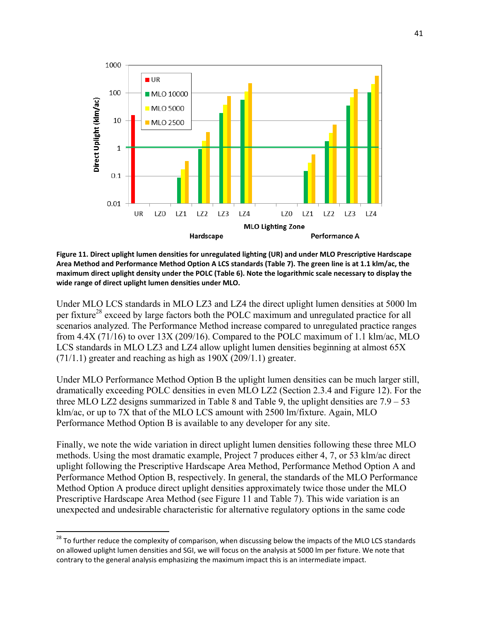

**Figure 11. Direct uplight lumen densities for unregulated lighting (UR) and under MLO Prescriptive Hardscape** Area Method and Performance Method Option A LCS standards (Table 7). The green line is at 1.1 klm/ac, the maximum direct uplight density under the POLC (Table 6). Note the logarithmic scale necessary to display the **wide range of direct uplight lumen densities under MLO.**

Under MLO LCS standards in MLO LZ3 and LZ4 the direct uplight lumen densities at 5000 lm per fixture<sup>28</sup> exceed by large factors both the POLC maximum and unregulated practice for all scenarios analyzed. The Performance Method increase compared to unregulated practice ranges from 4.4X (71/16) to over 13X (209/16). Compared to the POLC maximum of 1.1 klm/ac, MLO LCS standards in MLO LZ3 and LZ4 allow uplight lumen densities beginning at almost 65X (71/1.1) greater and reaching as high as 190X (209/1.1) greater.

Under MLO Performance Method Option B the uplight lumen densities can be much larger still, dramatically exceeding POLC densities in even MLO LZ2 (Section 2.3.4 and Figure 12). For the three MLO LZ2 designs summarized in Table 8 and Table 9, the uplight densities are  $7.9 - 53$ klm/ac, or up to 7X that of the MLO LCS amount with 2500 lm/fixture. Again, MLO Performance Method Option B is available to any developer for any site.

Finally, we note the wide variation in direct uplight lumen densities following these three MLO methods. Using the most dramatic example, Project 7 produces either 4, 7, or 53 klm/ac direct uplight following the Prescriptive Hardscape Area Method, Performance Method Option A and Performance Method Option B, respectively. In general, the standards of the MLO Performance Method Option A produce direct uplight densities approximately twice those under the MLO Prescriptive Hardscape Area Method (see Figure 11 and Table 7). This wide variation is an unexpected and undesirable characteristic for alternative regulatory options in the same code

 $^{28}$  To further reduce the complexity of comparison, when discussing below the impacts of the MLO LCS standards on allowed uplight lumen densities and SGI, we will focus on the analysis at 5000 lm per fixture. We note that contrary to the general analysis emphasizing the maximum impact this is an intermediate impact.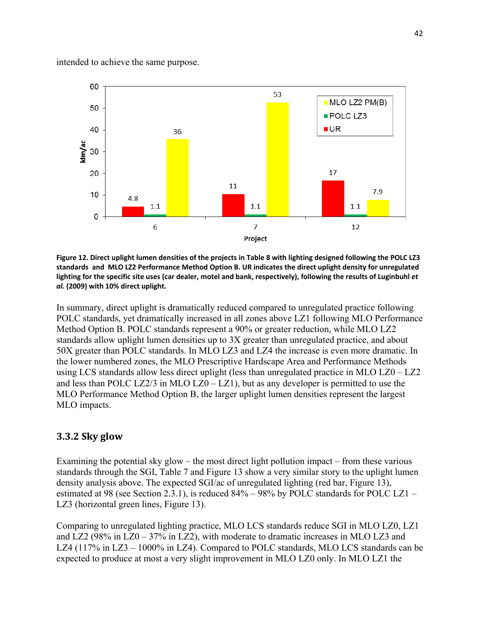intended to achieve the same purpose.



Figure 12. Direct uplight lumen densities of the projects in Table 8 with lighting designed following the POLC LZ3 standards and MLO LZ2 Performance Method Option B. UR indicates the direct uplight density for unregulated lighting for the specific site uses (car dealer, motel and bank, respectively), following the results of Luginbuhl et *al.* **(2009) with 10% direct uplight.**

In summary, direct uplight is dramatically reduced compared to unregulated practice following POLC standards, yet dramatically increased in all zones above LZ1 following MLO Performance Method Option B. POLC standards represent a 90% or greater reduction, while MLO LZ2 standards allow uplight lumen densities up to 3X greater than unregulated practice, and about 50X greater than POLC standards. In MLO LZ3 and LZ4 the increase is even more dramatic. In the lower numbered zones, the MLO Prescriptive Hardscape Area and Performance Methods using LCS standards allow less direct uplight (less than unregulated practice in MLO LZ0 – LZ2 and less than POLC LZ2/3 in MLO LZ0 – LZ1), but as any developer is permitted to use the MLO Performance Method Option B, the larger uplight lumen densities represent the largest MLO impacts.

#### **3.3.2 Sky glow**

Examining the potential sky glow – the most direct light pollution impact – from these various standards through the SGI, Table 7 and Figure 13 show a very similar story to the uplight lumen density analysis above. The expected SGI/ac of unregulated lighting (red bar, Figure 13), estimated at 98 (see Section 2.3.1), is reduced 84% – 98% by POLC standards for POLC LZ1 – LZ3 (horizontal green lines, Figure 13).

Comparing to unregulated lighting practice, MLO LCS standards reduce SGI in MLO LZ0, LZ1 and LZ2 (98% in  $LZ0 - 37%$  in LZ2), with moderate to dramatic increases in MLO LZ3 and LZ4 (117% in LZ3 – 1000% in LZ4). Compared to POLC standards, MLO LCS standards can be expected to produce at most a very slight improvement in MLO LZ0 only. In MLO LZ1 the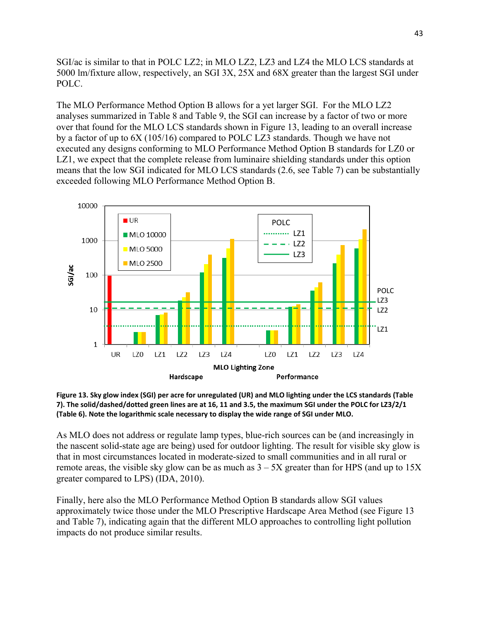SGI/ac is similar to that in POLC LZ2; in MLO LZ2, LZ3 and LZ4 the MLO LCS standards at 5000 lm/fixture allow, respectively, an SGI 3X, 25X and 68X greater than the largest SGI under POLC.

The MLO Performance Method Option B allows for a yet larger SGI. For the MLO LZ2 analyses summarized in Table 8 and Table 9, the SGI can increase by a factor of two or more over that found for the MLO LCS standards shown in Figure 13, leading to an overall increase by a factor of up to 6X (105/16) compared to POLC LZ3 standards. Though we have not executed any designs conforming to MLO Performance Method Option B standards for LZ0 or LZ1, we expect that the complete release from luminaire shielding standards under this option means that the low SGI indicated for MLO LCS standards (2.6, see Table 7) can be substantially exceeded following MLO Performance Method Option B.



Figure 13. Sky glow index (SGI) per acre for unregulated (UR) and MLO lighting under the LCS standards (Table 7). The solid/dashed/dotted green lines are at 16, 11 and 3.5, the maximum SGI under the POLC for LZ3/2/1 **(Table 6). Note the logarithmic scale necessary to display the wide range of SGI under MLO.**

As MLO does not address or regulate lamp types, blue-rich sources can be (and increasingly in the nascent solid-state age are being) used for outdoor lighting. The result for visible sky glow is that in most circumstances located in moderate-sized to small communities and in all rural or remote areas, the visible sky glow can be as much as  $3 - 5X$  greater than for HPS (and up to  $15X$ ) greater compared to LPS) (IDA, 2010).

Finally, here also the MLO Performance Method Option B standards allow SGI values approximately twice those under the MLO Prescriptive Hardscape Area Method (see Figure 13 and Table 7), indicating again that the different MLO approaches to controlling light pollution impacts do not produce similar results.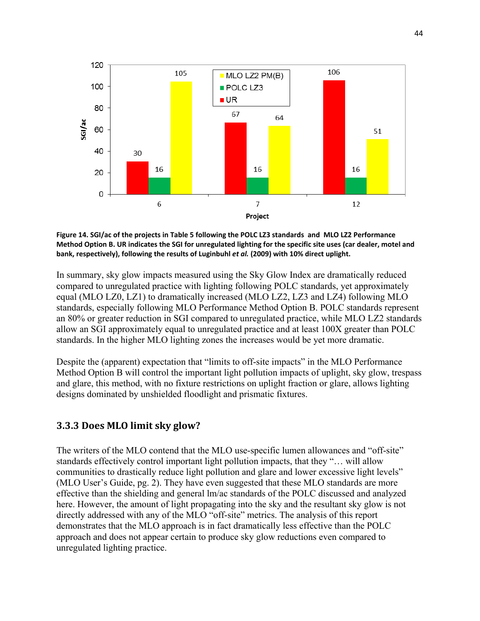

Figure 14. SGI/ac of the projects in Table 5 following the POLC LZ3 standards and MLO LZ2 Performance Method Option B. UR indicates the SGI for unregulated lighting for the specific site uses (car dealer, motel and **bank, respectively), following the results of Luginbuhl** *et al.* **(2009) with 10% direct uplight.**

In summary, sky glow impacts measured using the Sky Glow Index are dramatically reduced compared to unregulated practice with lighting following POLC standards, yet approximately equal (MLO LZ0, LZ1) to dramatically increased (MLO LZ2, LZ3 and LZ4) following MLO standards, especially following MLO Performance Method Option B. POLC standards represent an 80% or greater reduction in SGI compared to unregulated practice, while MLO LZ2 standards allow an SGI approximately equal to unregulated practice and at least 100X greater than POLC standards. In the higher MLO lighting zones the increases would be yet more dramatic.

Despite the (apparent) expectation that "limits to off-site impacts" in the MLO Performance Method Option B will control the important light pollution impacts of uplight, sky glow, trespass and glare, this method, with no fixture restrictions on uplight fraction or glare, allows lighting designs dominated by unshielded floodlight and prismatic fixtures.

#### **3.3.3 Does MLO limit sky glow?**

The writers of the MLO contend that the MLO use-specific lumen allowances and "off-site" standards effectively control important light pollution impacts, that they "… will allow communities to drastically reduce light pollution and glare and lower excessive light levels" (MLO User's Guide, pg. 2). They have even suggested that these MLO standards are more effective than the shielding and general lm/ac standards of the POLC discussed and analyzed here. However, the amount of light propagating into the sky and the resultant sky glow is not directly addressed with any of the MLO "off-site" metrics. The analysis of this report demonstrates that the MLO approach is in fact dramatically less effective than the POLC approach and does not appear certain to produce sky glow reductions even compared to unregulated lighting practice.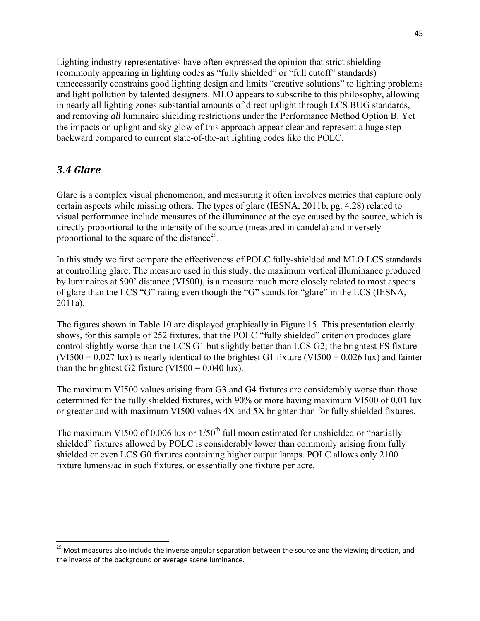Lighting industry representatives have often expressed the opinion that strict shielding (commonly appearing in lighting codes as "fully shielded" or "full cutoff" standards) unnecessarily constrains good lighting design and limits "creative solutions" to lighting problems and light pollution by talented designers. MLO appears to subscribe to this philosophy, allowing in nearly all lighting zones substantial amounts of direct uplight through LCS BUG standards, and removing *all* luminaire shielding restrictions under the Performance Method Option B. Yet the impacts on uplight and sky glow of this approach appear clear and represent a huge step backward compared to current state-of-the-art lighting codes like the POLC.

## *3.4 Glare*

Glare is a complex visual phenomenon, and measuring it often involves metrics that capture only certain aspects while missing others. The types of glare (IESNA, 2011b, pg. 4.28) related to visual performance include measures of the illuminance at the eye caused by the source, which is directly proportional to the intensity of the source (measured in candela) and inversely proportional to the square of the distance<sup>29</sup>.

In this study we first compare the effectiveness of POLC fully-shielded and MLO LCS standards at controlling glare. The measure used in this study, the maximum vertical illuminance produced by luminaires at 500' distance (VI500), is a measure much more closely related to most aspects of glare than the LCS "G" rating even though the "G" stands for "glare" in the LCS (IESNA, 2011a).

The figures shown in Table 10 are displayed graphically in Figure 15. This presentation clearly shows, for this sample of 252 fixtures, that the POLC "fully shielded" criterion produces glare control slightly worse than the LCS G1 but slightly better than LCS G2; the brightest FS fixture  $(VIS00 = 0.027 \text{ lux})$  is nearly identical to the brightest G1 fixture  $(VIS00 = 0.026 \text{ lux})$  and fainter than the brightest G2 fixture (VI500 =  $0.040$  lux).

The maximum VI500 values arising from G3 and G4 fixtures are considerably worse than those determined for the fully shielded fixtures, with 90% or more having maximum VI500 of 0.01 lux or greater and with maximum VI500 values 4X and 5X brighter than for fully shielded fixtures.

The maximum VI500 of 0.006 lux or  $1/50<sup>th</sup>$  full moon estimated for unshielded or "partially shielded" fixtures allowed by POLC is considerably lower than commonly arising from fully shielded or even LCS G0 fixtures containing higher output lamps. POLC allows only 2100 fixture lumens/ac in such fixtures, or essentially one fixture per acre.

<sup>&</sup>lt;sup>29</sup> Most measures also include the inverse angular separation between the source and the viewing direction, and the inverse of the background or average scene luminance.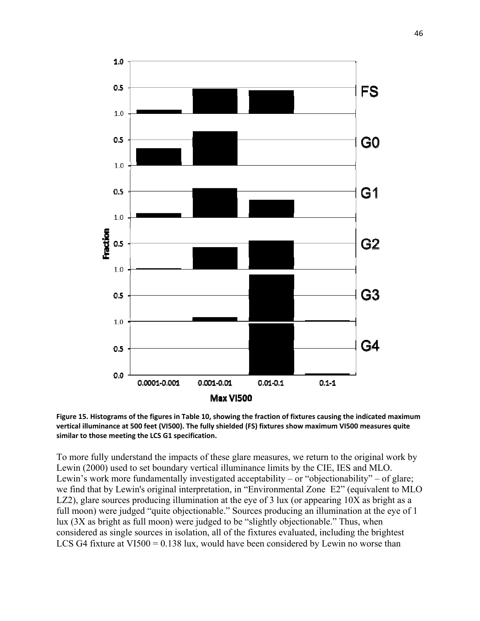



To more fully understand the impacts of these glare measures, we return to the original work by Lewin (2000) used to set boundary vertical illuminance limits by the CIE, IES and MLO. Lewin's work more fundamentally investigated acceptability – or "objectionability" – of glare; we find that by Lewin's original interpretation, in "Environmental Zone E2" (equivalent to MLO LZ2), glare sources producing illumination at the eye of 3 lux (or appearing  $10X$  as bright as a full moon) were judged "quite objectionable." Sources producing an illumination at the eye of 1 lux (3X as bright as full moon) were judged to be "slightly objectionable." Thus, when considered as single sources in isolation, all of the fixtures evaluated, including the brightest LCS G4 fixture at VI500 =  $0.138$  lux, would have been considered by Lewin no worse than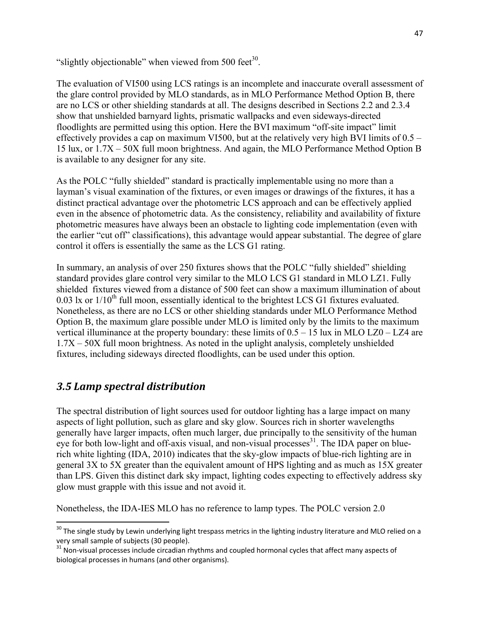"slightly objectionable" when viewed from  $500 \text{ feet}^{30}$ .

The evaluation of VI500 using LCS ratings is an incomplete and inaccurate overall assessment of the glare control provided by MLO standards, as in MLO Performance Method Option B, there are no LCS or other shielding standards at all. The designs described in Sections 2.2 and 2.3.4 show that unshielded barnyard lights, prismatic wallpacks and even sideways-directed floodlights are permitted using this option. Here the BVI maximum "off-site impact" limit effectively provides a cap on maximum VI500, but at the relatively very high BVI limits of 0.5 – 15 lux, or 1.7X – 50X full moon brightness. And again, the MLO Performance Method Option B is available to any designer for any site.

As the POLC "fully shielded" standard is practically implementable using no more than a layman's visual examination of the fixtures, or even images or drawings of the fixtures, it has a distinct practical advantage over the photometric LCS approach and can be effectively applied even in the absence of photometric data. As the consistency, reliability and availability of fixture photometric measures have always been an obstacle to lighting code implementation (even with the earlier "cut off" classifications), this advantage would appear substantial. The degree of glare control it offers is essentially the same as the LCS G1 rating.

In summary, an analysis of over 250 fixtures shows that the POLC "fully shielded" shielding standard provides glare control very similar to the MLO LCS G1 standard in MLO LZ1. Fully shielded fixtures viewed from a distance of 500 feet can show a maximum illumination of about 0.03 lx or  $1/10^{th}$  full moon, essentially identical to the brightest LCS G1 fixtures evaluated. Nonetheless, as there are no LCS or other shielding standards under MLO Performance Method Option B, the maximum glare possible under MLO is limited only by the limits to the maximum vertical illuminance at the property boundary: these limits of  $0.5 - 15$  lux in MLO LZ0 – LZ4 are 1.7X – 50X full moon brightness. As noted in the uplight analysis, completely unshielded fixtures, including sideways directed floodlights, can be used under this option.

## *3.5 Lamp spectral distribution*

The spectral distribution of light sources used for outdoor lighting has a large impact on many aspects of light pollution, such as glare and sky glow. Sources rich in shorter wavelengths generally have larger impacts, often much larger, due principally to the sensitivity of the human eye for both low-light and off-axis visual, and non-visual processes $31$ . The IDA paper on bluerich white lighting (IDA, 2010) indicates that the sky-glow impacts of blue-rich lighting are in general 3X to 5X greater than the equivalent amount of HPS lighting and as much as 15X greater than LPS. Given this distinct dark sky impact, lighting codes expecting to effectively address sky glow must grapple with this issue and not avoid it.

Nonetheless, the IDA-IES MLO has no reference to lamp types. The POLC version 2.0

 $^{30}$  The single study by Lewin underlying light trespass metrics in the lighting industry literature and MLO relied on a very small sample of subjects (30 people).<br><sup>31</sup> Non-visual processes include circadian rhythms and coupled hormonal cycles that affect many aspects of

biological processes in humans (and other organisms).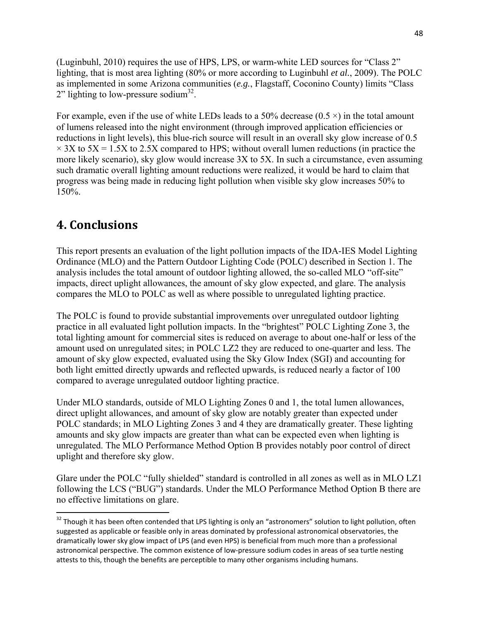(Luginbuhl, 2010) requires the use of HPS, LPS, or warm-white LED sources for "Class 2" lighting, that is most area lighting (80% or more according to Luginbuhl *et al.*, 2009). The POLC as implemented in some Arizona communities (*e.g.*, Flagstaff, Coconino County) limits "Class  $2$ " lighting to low-pressure sodium<sup>32</sup>.

For example, even if the use of white LEDs leads to a 50% decrease  $(0.5 \times)$  in the total amount of lumens released into the night environment (through improved application efficiencies or reductions in light levels), this blue-rich source will result in an overall sky glow increase of 0.5  $\times$  3X to 5X = 1.5X to 2.5X compared to HPS; without overall lumen reductions (in practice the more likely scenario), sky glow would increase 3X to 5X. In such a circumstance, even assuming such dramatic overall lighting amount reductions were realized, it would be hard to claim that progress was being made in reducing light pollution when visible sky glow increases 50% to 150%.

## **4. Conclusions**

This report presents an evaluation of the light pollution impacts of the IDA-IES Model Lighting Ordinance (MLO) and the Pattern Outdoor Lighting Code (POLC) described in Section 1. The analysis includes the total amount of outdoor lighting allowed, the so-called MLO "off-site" impacts, direct uplight allowances, the amount of sky glow expected, and glare. The analysis compares the MLO to POLC as well as where possible to unregulated lighting practice.

The POLC is found to provide substantial improvements over unregulated outdoor lighting practice in all evaluated light pollution impacts. In the "brightest" POLC Lighting Zone 3, the total lighting amount for commercial sites is reduced on average to about one-half or less of the amount used on unregulated sites; in POLC LZ2 they are reduced to one-quarter and less. The amount of sky glow expected, evaluated using the Sky Glow Index (SGI) and accounting for both light emitted directly upwards and reflected upwards, is reduced nearly a factor of 100 compared to average unregulated outdoor lighting practice.

Under MLO standards, outside of MLO Lighting Zones 0 and 1, the total lumen allowances, direct uplight allowances, and amount of sky glow are notably greater than expected under POLC standards; in MLO Lighting Zones 3 and 4 they are dramatically greater. These lighting amounts and sky glow impacts are greater than what can be expected even when lighting is unregulated. The MLO Performance Method Option B provides notably poor control of direct uplight and therefore sky glow.

Glare under the POLC "fully shielded" standard is controlled in all zones as well as in MLO LZ1 following the LCS ("BUG") standards. Under the MLO Performance Method Option B there are no effective limitations on glare.

<sup>&</sup>lt;sup>32</sup> Though it has been often contended that LPS lighting is only an "astronomers" solution to light pollution, often suggested as applicable or feasible only in areas dominated by professional astronomical observatories, the dramatically lower sky glow impact of LPS (and even HPS) is beneficial from much more than a professional astronomical perspective. The common existence of low-pressure sodium codes in areas of sea turtle nesting attests to this, though the benefits are perceptible to many other organisms including humans.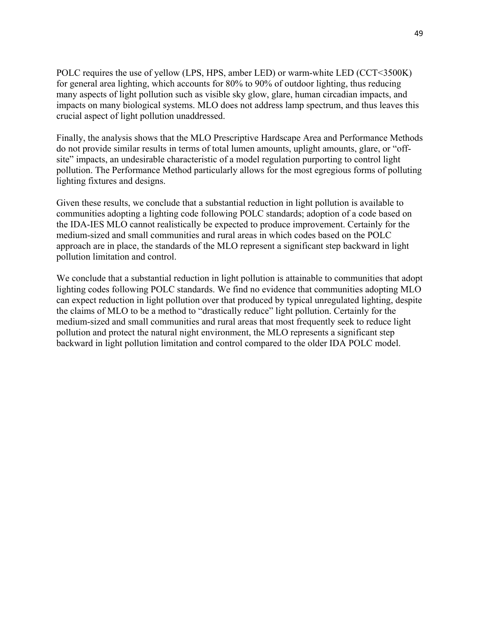POLC requires the use of yellow (LPS, HPS, amber LED) or warm-white LED (CCT<3500K) for general area lighting, which accounts for 80% to 90% of outdoor lighting, thus reducing many aspects of light pollution such as visible sky glow, glare, human circadian impacts, and impacts on many biological systems. MLO does not address lamp spectrum, and thus leaves this crucial aspect of light pollution unaddressed.

Finally, the analysis shows that the MLO Prescriptive Hardscape Area and Performance Methods do not provide similar results in terms of total lumen amounts, uplight amounts, glare, or "offsite" impacts, an undesirable characteristic of a model regulation purporting to control light pollution. The Performance Method particularly allows for the most egregious forms of polluting lighting fixtures and designs.

Given these results, we conclude that a substantial reduction in light pollution is available to communities adopting a lighting code following POLC standards; adoption of a code based on the IDA-IES MLO cannot realistically be expected to produce improvement. Certainly for the medium-sized and small communities and rural areas in which codes based on the POLC approach are in place, the standards of the MLO represent a significant step backward in light pollution limitation and control.

We conclude that a substantial reduction in light pollution is attainable to communities that adopt lighting codes following POLC standards. We find no evidence that communities adopting MLO can expect reduction in light pollution over that produced by typical unregulated lighting, despite the claims of MLO to be a method to "drastically reduce" light pollution. Certainly for the medium-sized and small communities and rural areas that most frequently seek to reduce light pollution and protect the natural night environment, the MLO represents a significant step backward in light pollution limitation and control compared to the older IDA POLC model.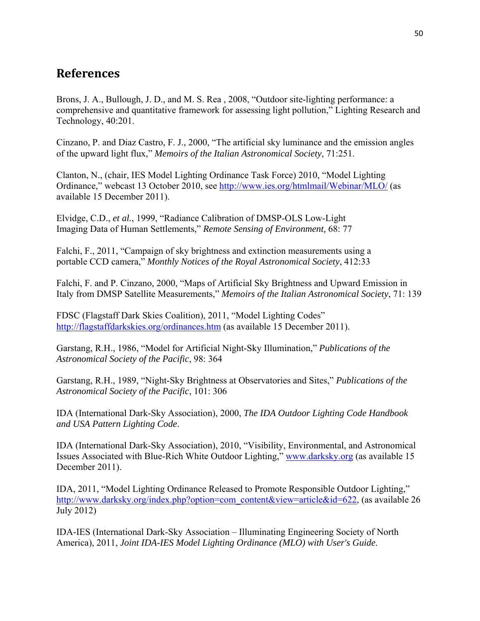## **References**

Brons, J. A., Bullough, J. D., and M. S. Rea , 2008, "Outdoor site-lighting performance: a comprehensive and quantitative framework for assessing light pollution," Lighting Research and Technology, 40:201.

Cinzano, P. and Diaz Castro, F. J., 2000, "The artificial sky luminance and the emission angles of the upward light flux," *Memoirs of the Italian Astronomical Society*, 71:251.

Clanton, N., (chair, IES Model Lighting Ordinance Task Force) 2010, "Model Lighting Ordinance," webcast 13 October 2010, see http://www.ies.org/htmlmail/Webinar/MLO/ (as available 15 December 2011).

Elvidge, C.D., *et al.*, 1999, "Radiance Calibration of DMSP-OLS Low-Light Imaging Data of Human Settlements," *Remote Sensing of Environment,* 68: 77

Falchi, F., 2011, "Campaign of sky brightness and extinction measurements using a portable CCD camera," *Monthly Notices of the Royal Astronomical Society*, 412:33

Falchi, F. and P. Cinzano, 2000, "Maps of Artificial Sky Brightness and Upward Emission in Italy from DMSP Satellite Measurements," *Memoirs of the Italian Astronomical Society*, 71: 139

FDSC (Flagstaff Dark Skies Coalition), 2011, "Model Lighting Codes" http://flagstaffdarkskies.org/ordinances.htm (as available 15 December 2011).

Garstang, R.H., 1986, "Model for Artificial Night-Sky Illumination," *Publications of the Astronomical Society of the Pacific*, 98: 364

Garstang, R.H., 1989, "Night-Sky Brightness at Observatories and Sites," *Publications of the Astronomical Society of the Pacific*, 101: 306

IDA (International Dark-Sky Association), 2000, *The IDA Outdoor Lighting Code Handbook and USA Pattern Lighting Code*.

IDA (International Dark-Sky Association), 2010, "Visibility, Environmental, and Astronomical Issues Associated with Blue-Rich White Outdoor Lighting," www.darksky.org (as available 15 December 2011).

IDA, 2011, "Model Lighting Ordinance Released to Promote Responsible Outdoor Lighting," http://www.darksky.org/index.php?option=com\_content&view=article&id=622, (as available 26 July 2012)

IDA-IES (International Dark-Sky Association – Illuminating Engineering Society of North America), 2011, *Joint IDA-IES Model Lighting Ordinance (MLO) with User's Guide*.